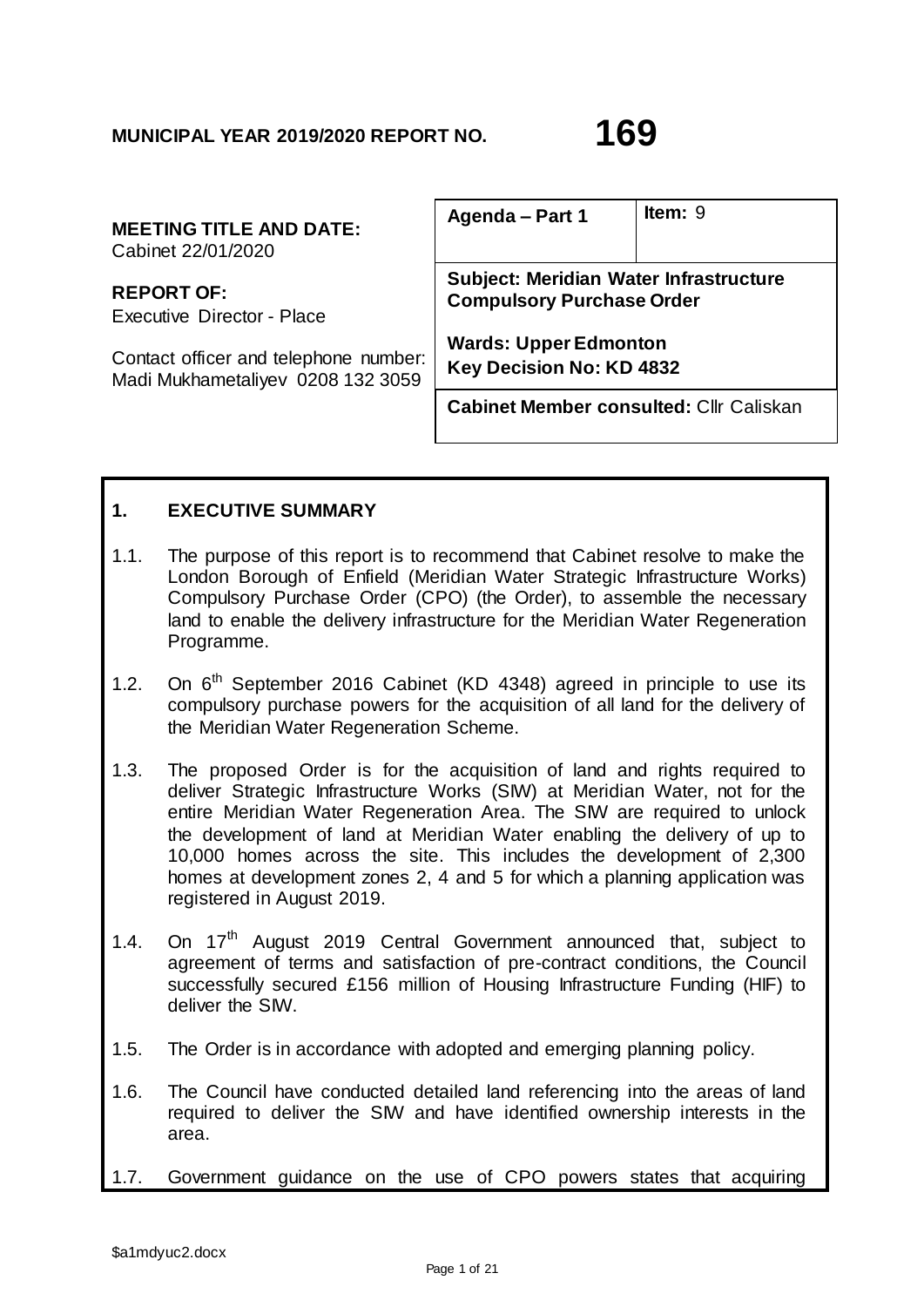| <b>MEETING TITLE AND DATE:</b><br>Cabinet 22/01/2020 | Agenda - Part 1                                | Item: $9$ |
|------------------------------------------------------|------------------------------------------------|-----------|
| <b>REPORT OF:</b>                                    | Subject: Meridian Water Infrastructure         |           |
| Executive Director - Place                           | <b>Compulsory Purchase Order</b>               |           |
| Contact officer and telephone number:                | <b>Wards: Upper Edmonton</b>                   |           |
| Madi Mukhametaliyev 0208 132 3059                    | Key Decision No: KD 4832                       |           |
|                                                      | <b>Cabinet Member consulted: Cllr Caliskan</b> |           |

# **1. EXECUTIVE SUMMARY**

- 1.1. The purpose of this report is to recommend that Cabinet resolve to make the London Borough of Enfield (Meridian Water Strategic Infrastructure Works) Compulsory Purchase Order (CPO) (the Order), to assemble the necessary land to enable the delivery infrastructure for the Meridian Water Regeneration Programme.
- 1.2. On  $6<sup>th</sup>$  September 2016 Cabinet (KD 4348) agreed in principle to use its compulsory purchase powers for the acquisition of all land for the delivery of the Meridian Water Regeneration Scheme.
- 1.3. The proposed Order is for the acquisition of land and rights required to deliver Strategic Infrastructure Works (SIW) at Meridian Water, not for the entire Meridian Water Regeneration Area. The SIW are required to unlock the development of land at Meridian Water enabling the delivery of up to 10,000 homes across the site. This includes the development of 2,300 homes at development zones 2, 4 and 5 for which a planning application was registered in August 2019.
- 1.4. On 17<sup>th</sup> August 2019 Central Government announced that, subject to agreement of terms and satisfaction of pre-contract conditions, the Council successfully secured £156 million of Housing Infrastructure Funding (HIF) to deliver the SIW.
- 1.5. The Order is in accordance with adopted and emerging planning policy.
- 1.6. The Council have conducted detailed land referencing into the areas of land required to deliver the SIW and have identified ownership interests in the area.
- 1.7. Government guidance on the use of CPO powers states that acquiring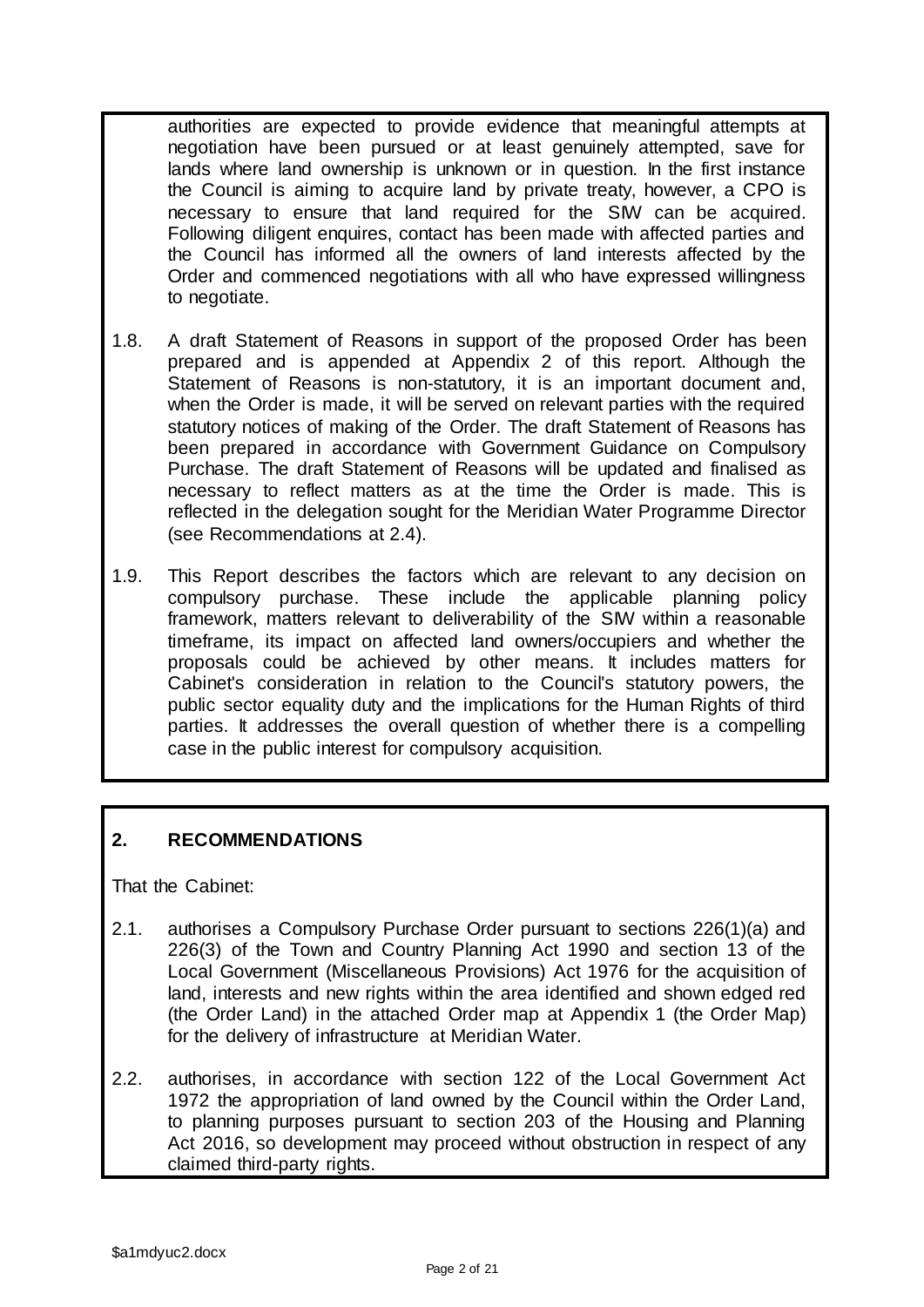authorities are expected to provide evidence that meaningful attempts at negotiation have been pursued or at least genuinely attempted, save for lands where land ownership is unknown or in question. In the first instance the Council is aiming to acquire land by private treaty, however, a CPO is necessary to ensure that land required for the SIW can be acquired. Following diligent enquires, contact has been made with affected parties and the Council has informed all the owners of land interests affected by the Order and commenced negotiations with all who have expressed willingness to negotiate.

- 1.8. A draft Statement of Reasons in support of the proposed Order has been prepared and is appended at Appendix 2 of this report. Although the Statement of Reasons is non-statutory, it is an important document and, when the Order is made, it will be served on relevant parties with the required statutory notices of making of the Order. The draft Statement of Reasons has been prepared in accordance with Government Guidance on Compulsory Purchase. The draft Statement of Reasons will be updated and finalised as necessary to reflect matters as at the time the Order is made. This is reflected in the delegation sought for the Meridian Water Programme Director (see Recommendations at 2.4).
- 1.9. This Report describes the factors which are relevant to any decision on compulsory purchase. These include the applicable planning policy framework, matters relevant to deliverability of the SIW within a reasonable timeframe, its impact on affected land owners/occupiers and whether the proposals could be achieved by other means. It includes matters for Cabinet's consideration in relation to the Council's statutory powers, the public sector equality duty and the implications for the Human Rights of third parties. It addresses the overall question of whether there is a compelling case in the public interest for compulsory acquisition.

# **2. RECOMMENDATIONS**

That the Cabinet:

- 2.1. authorises a Compulsory Purchase Order pursuant to sections 226(1)(a) and 226(3) of the Town and Country Planning Act 1990 and section 13 of the Local Government (Miscellaneous Provisions) Act 1976 for the acquisition of land, interests and new rights within the area identified and shown edged red (the Order Land) in the attached Order map at Appendix 1 (the Order Map) for the delivery of infrastructure at Meridian Water.
- 2.2. authorises, in accordance with section 122 of the Local Government Act 1972 the appropriation of land owned by the Council within the Order Land, to planning purposes pursuant to section 203 of the Housing and Planning Act 2016, so development may proceed without obstruction in respect of any claimed third-party rights.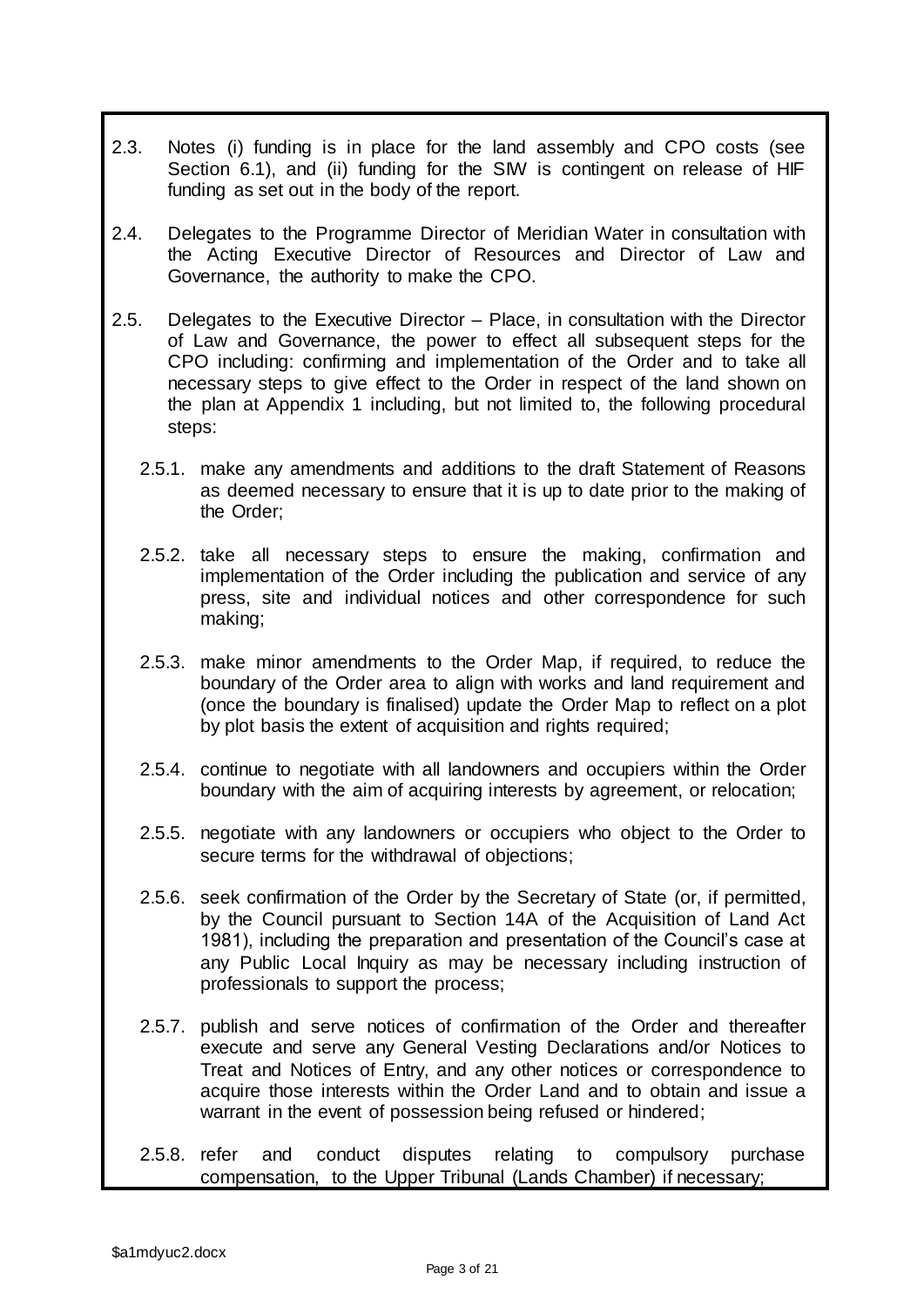- 2.3. Notes (i) funding is in place for the land assembly and CPO costs (see Section 6.1), and (ii) funding for the SIW is contingent on release of HIF funding as set out in the body of the report.
- 2.4. Delegates to the Programme Director of Meridian Water in consultation with the Acting Executive Director of Resources and Director of Law and Governance, the authority to make the CPO.
- 2.5. Delegates to the Executive Director Place, in consultation with the Director of Law and Governance, the power to effect all subsequent steps for the CPO including: confirming and implementation of the Order and to take all necessary steps to give effect to the Order in respect of the land shown on the plan at Appendix 1 including, but not limited to, the following procedural steps:
	- 2.5.1. make any amendments and additions to the draft Statement of Reasons as deemed necessary to ensure that it is up to date prior to the making of the Order;
	- 2.5.2. take all necessary steps to ensure the making, confirmation and implementation of the Order including the publication and service of any press, site and individual notices and other correspondence for such making;
	- 2.5.3. make minor amendments to the Order Map, if required, to reduce the boundary of the Order area to align with works and land requirement and (once the boundary is finalised) update the Order Map to reflect on a plot by plot basis the extent of acquisition and rights required;
	- 2.5.4. continue to negotiate with all landowners and occupiers within the Order boundary with the aim of acquiring interests by agreement, or relocation;
	- 2.5.5. negotiate with any landowners or occupiers who object to the Order to secure terms for the withdrawal of objections;
	- 2.5.6. seek confirmation of the Order by the Secretary of State (or, if permitted, by the Council pursuant to Section 14A of the Acquisition of Land Act 1981), including the preparation and presentation of the Council's case at any Public Local Inquiry as may be necessary including instruction of professionals to support the process;
	- 2.5.7. publish and serve notices of confirmation of the Order and thereafter execute and serve any General Vesting Declarations and/or Notices to Treat and Notices of Entry, and any other notices or correspondence to acquire those interests within the Order Land and to obtain and issue a warrant in the event of possession being refused or hindered;
	- 2.5.8. refer and conduct disputes relating to compulsory purchase compensation, to the Upper Tribunal (Lands Chamber) if necessary;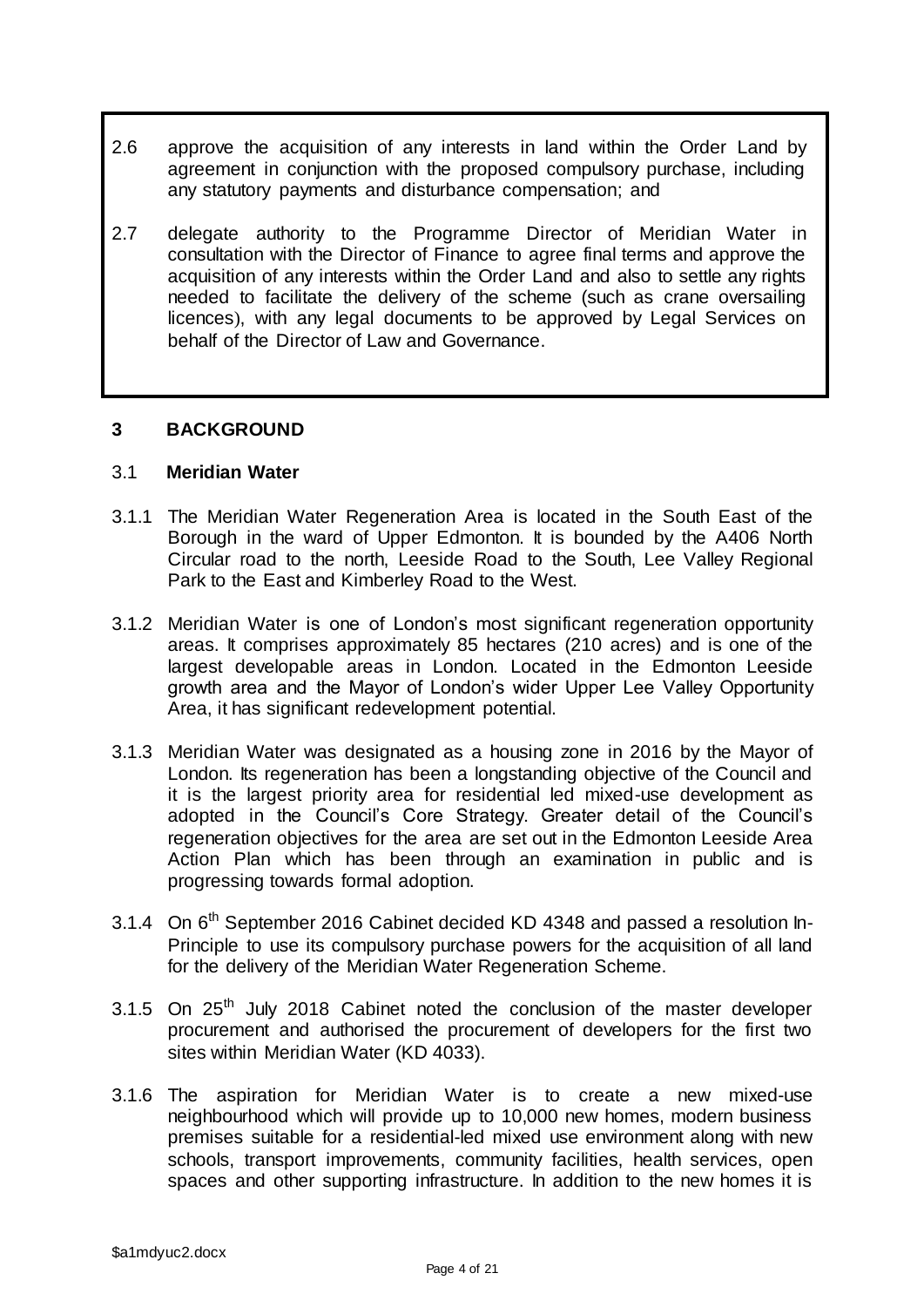- 2.6 approve the acquisition of any interests in land within the Order Land by agreement in conjunction with the proposed compulsory purchase, including any statutory payments and disturbance compensation; and
- 2.7 delegate authority to the Programme Director of Meridian Water in consultation with the Director of Finance to agree final terms and approve the acquisition of any interests within the Order Land and also to settle any rights needed to facilitate the delivery of the scheme (such as crane oversailing licences), with any legal documents to be approved by Legal Services on behalf of the Director of Law and Governance.

### **3 BACKGROUND**

#### 3.1 **Meridian Water**

- 3.1.1 The Meridian Water Regeneration Area is located in the South East of the Borough in the ward of Upper Edmonton. It is bounded by the A406 North Circular road to the north, Leeside Road to the South, Lee Valley Regional Park to the East and Kimberley Road to the West.
- 3.1.2 Meridian Water is one of London's most significant regeneration opportunity areas. It comprises approximately 85 hectares (210 acres) and is one of the largest developable areas in London. Located in the Edmonton Leeside growth area and the Mayor of London's wider Upper Lee Valley Opportunity Area, it has significant redevelopment potential.
- 3.1.3 Meridian Water was designated as a housing zone in 2016 by the Mayor of London. Its regeneration has been a longstanding objective of the Council and it is the largest priority area for residential led mixed-use development as adopted in the Council's Core Strategy. Greater detail of the Council's regeneration objectives for the area are set out in the Edmonton Leeside Area Action Plan which has been through an examination in public and is progressing towards formal adoption.
- 3.1.4 On 6<sup>th</sup> September 2016 Cabinet decided KD 4348 and passed a resolution In-Principle to use its compulsory purchase powers for the acquisition of all land for the delivery of the Meridian Water Regeneration Scheme.
- 3.1.5 On  $25<sup>th</sup>$  July 2018 Cabinet noted the conclusion of the master developer procurement and authorised the procurement of developers for the first two sites within Meridian Water (KD 4033).
- 3.1.6 The aspiration for Meridian Water is to create a new mixed-use neighbourhood which will provide up to 10,000 new homes, modern business premises suitable for a residential-led mixed use environment along with new schools, transport improvements, community facilities, health services, open spaces and other supporting infrastructure. In addition to the new homes it is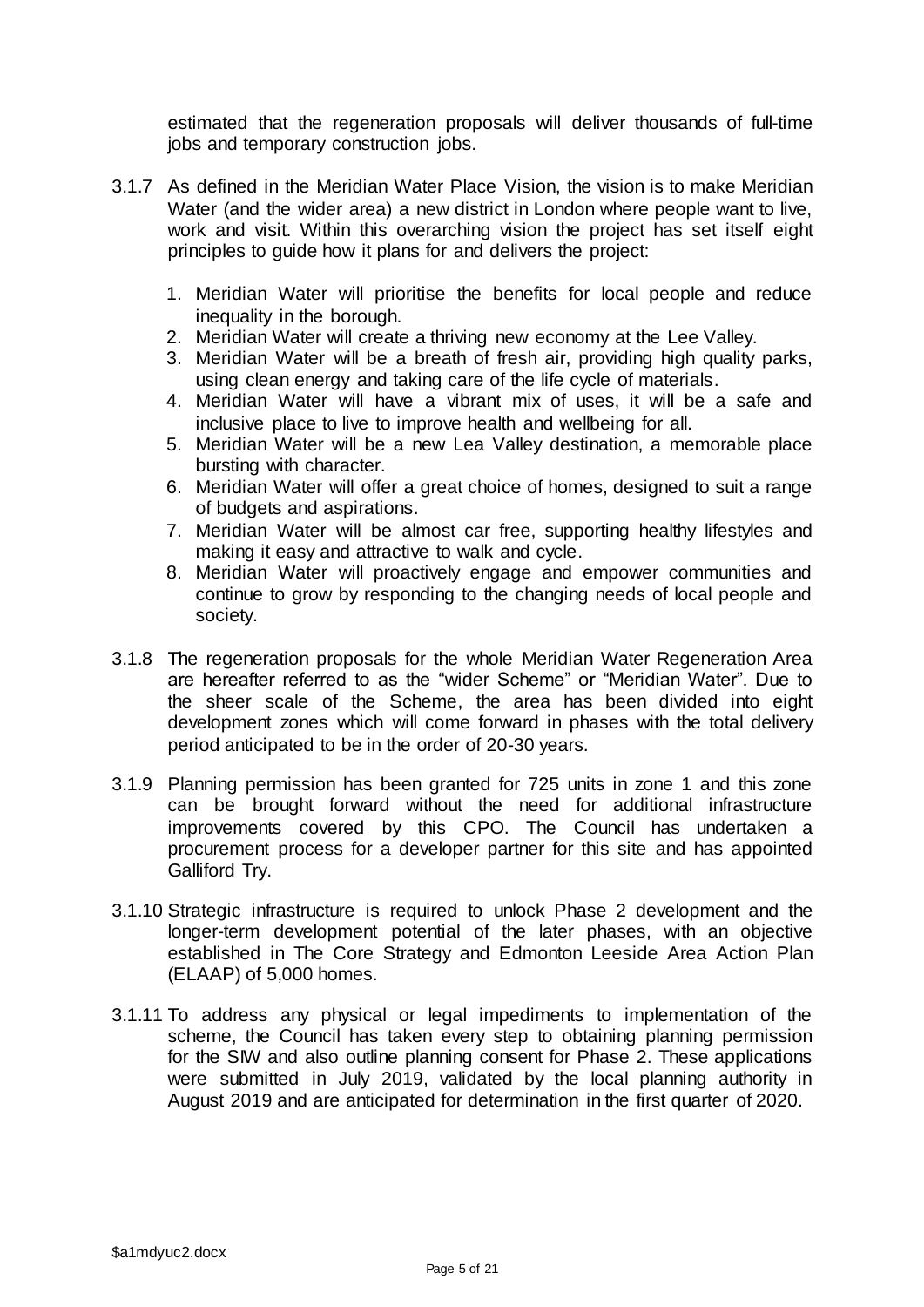estimated that the regeneration proposals will deliver thousands of full-time jobs and temporary construction jobs.

- 3.1.7 As defined in the Meridian Water Place Vision, the vision is to make Meridian Water (and the wider area) a new district in London where people want to live, work and visit. Within this overarching vision the project has set itself eight principles to guide how it plans for and delivers the project:
	- 1. Meridian Water will prioritise the benefits for local people and reduce inequality in the borough.
	- 2. Meridian Water will create a thriving new economy at the Lee Valley.
	- 3. Meridian Water will be a breath of fresh air, providing high quality parks, using clean energy and taking care of the life cycle of materials.
	- 4. Meridian Water will have a vibrant mix of uses, it will be a safe and inclusive place to live to improve health and wellbeing for all.
	- 5. Meridian Water will be a new Lea Valley destination, a memorable place bursting with character.
	- 6. Meridian Water will offer a great choice of homes, designed to suit a range of budgets and aspirations.
	- 7. Meridian Water will be almost car free, supporting healthy lifestyles and making it easy and attractive to walk and cycle.
	- 8. Meridian Water will proactively engage and empower communities and continue to grow by responding to the changing needs of local people and society.
- 3.1.8 The regeneration proposals for the whole Meridian Water Regeneration Area are hereafter referred to as the "wider Scheme" or "Meridian Water". Due to the sheer scale of the Scheme, the area has been divided into eight development zones which will come forward in phases with the total delivery period anticipated to be in the order of 20-30 years.
- 3.1.9 Planning permission has been granted for 725 units in zone 1 and this zone can be brought forward without the need for additional infrastructure improvements covered by this CPO. The Council has undertaken a procurement process for a developer partner for this site and has appointed Galliford Try.
- 3.1.10 Strategic infrastructure is required to unlock Phase 2 development and the longer-term development potential of the later phases, with an objective established in The Core Strategy and Edmonton Leeside Area Action Plan (ELAAP) of 5,000 homes.
- 3.1.11 To address any physical or legal impediments to implementation of the scheme, the Council has taken every step to obtaining planning permission for the SIW and also outline planning consent for Phase 2. These applications were submitted in July 2019, validated by the local planning authority in August 2019 and are anticipated for determination in the first quarter of 2020.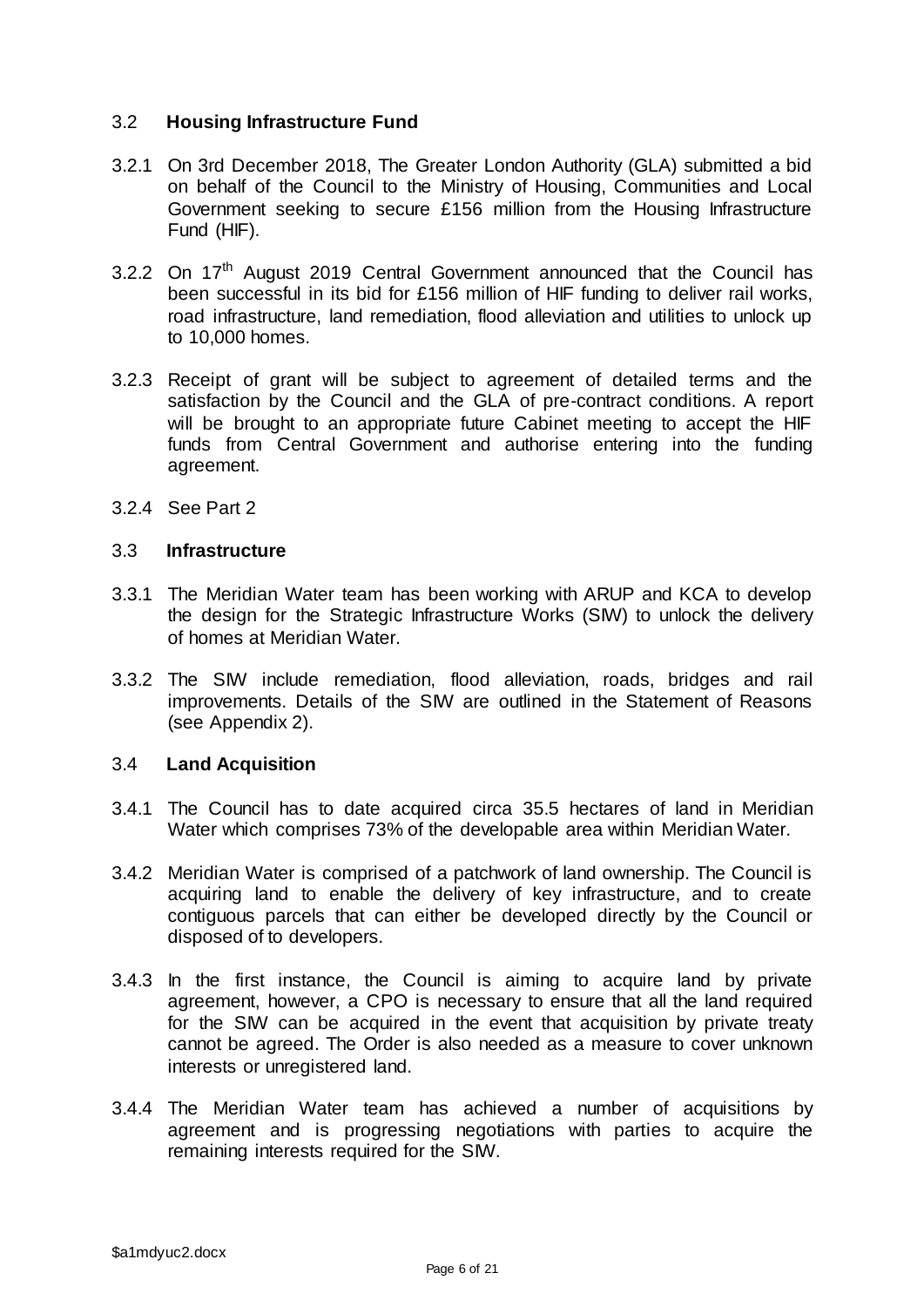### 3.2 **Housing Infrastructure Fund**

- 3.2.1 On 3rd December 2018, The Greater London Authority (GLA) submitted a bid on behalf of the Council to the Ministry of Housing, Communities and Local Government seeking to secure £156 million from the Housing Infrastructure Fund (HIF).
- 3.2.2 On 17<sup>th</sup> August 2019 Central Government announced that the Council has been successful in its bid for £156 million of HIF funding to deliver rail works, road infrastructure, land remediation, flood alleviation and utilities to unlock up to 10,000 homes.
- 3.2.3 Receipt of grant will be subject to agreement of detailed terms and the satisfaction by the Council and the GLA of pre-contract conditions. A report will be brought to an appropriate future Cabinet meeting to accept the HIF funds from Central Government and authorise entering into the funding agreement.
- 3.2.4 See Part 2

### 3.3 **Infrastructure**

- 3.3.1 The Meridian Water team has been working with ARUP and KCA to develop the design for the Strategic Infrastructure Works (SIW) to unlock the delivery of homes at Meridian Water.
- 3.3.2 The SIW include remediation, flood alleviation, roads, bridges and rail improvements. Details of the SIW are outlined in the Statement of Reasons (see Appendix 2).

#### 3.4 **Land Acquisition**

- 3.4.1 The Council has to date acquired circa 35.5 hectares of land in Meridian Water which comprises 73% of the developable area within Meridian Water.
- 3.4.2 Meridian Water is comprised of a patchwork of land ownership. The Council is acquiring land to enable the delivery of key infrastructure, and to create contiguous parcels that can either be developed directly by the Council or disposed of to developers.
- 3.4.3 In the first instance, the Council is aiming to acquire land by private agreement, however, a CPO is necessary to ensure that all the land required for the SIW can be acquired in the event that acquisition by private treaty cannot be agreed. The Order is also needed as a measure to cover unknown interests or unregistered land.
- 3.4.4 The Meridian Water team has achieved a number of acquisitions by agreement and is progressing negotiations with parties to acquire the remaining interests required for the SIW.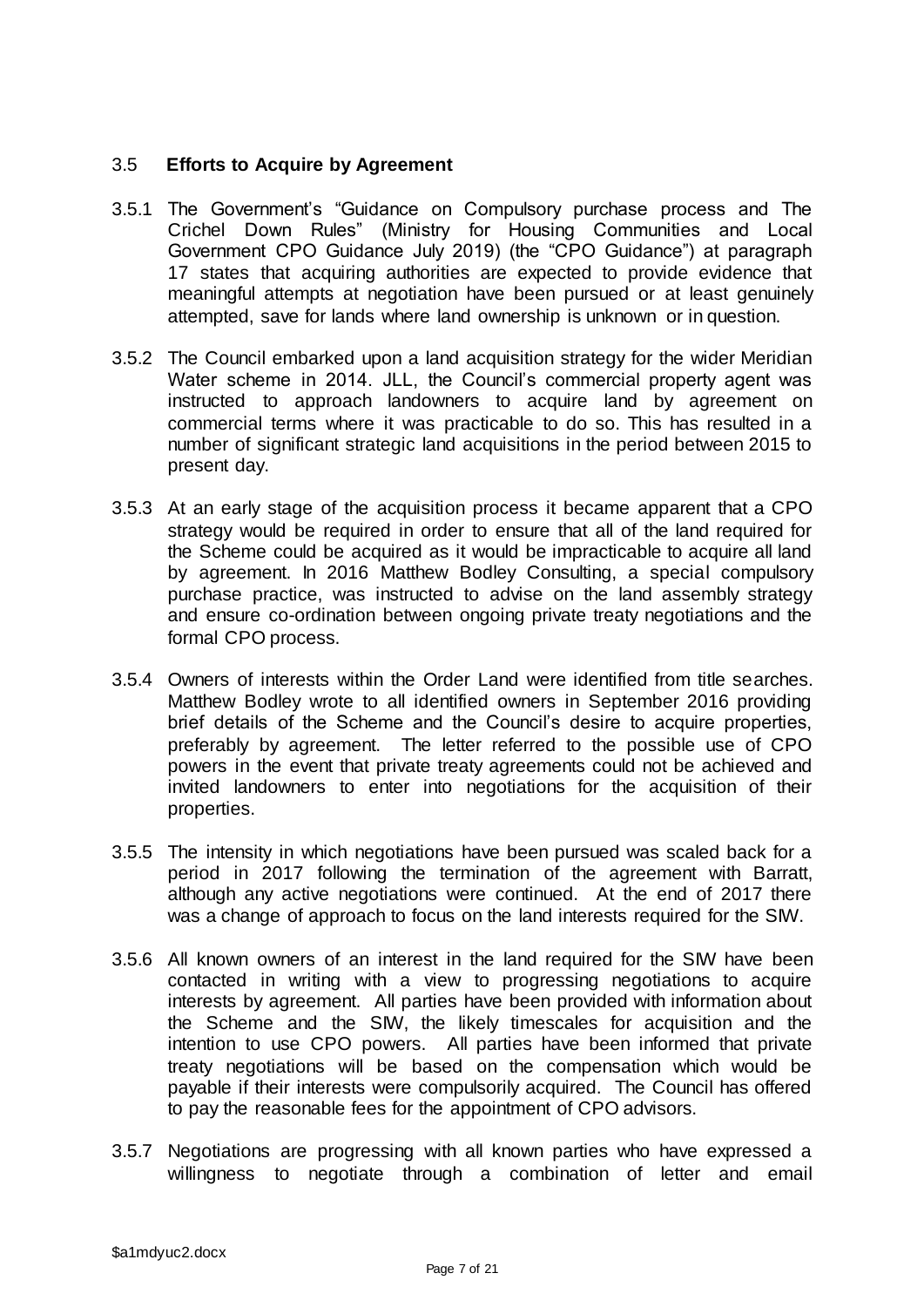### 3.5 **Efforts to Acquire by Agreement**

- 3.5.1 The Government's "Guidance on Compulsory purchase process and The Crichel Down Rules" (Ministry for Housing Communities and Local Government CPO Guidance July 2019) (the "CPO Guidance") at paragraph 17 states that acquiring authorities are expected to provide evidence that meaningful attempts at negotiation have been pursued or at least genuinely attempted, save for lands where land ownership is unknown or in question.
- 3.5.2 The Council embarked upon a land acquisition strategy for the wider Meridian Water scheme in 2014. JLL, the Council's commercial property agent was instructed to approach landowners to acquire land by agreement on commercial terms where it was practicable to do so. This has resulted in a number of significant strategic land acquisitions in the period between 2015 to present day.
- 3.5.3 At an early stage of the acquisition process it became apparent that a CPO strategy would be required in order to ensure that all of the land required for the Scheme could be acquired as it would be impracticable to acquire all land by agreement. In 2016 Matthew Bodley Consulting, a special compulsory purchase practice, was instructed to advise on the land assembly strategy and ensure co-ordination between ongoing private treaty negotiations and the formal CPO process.
- 3.5.4 Owners of interests within the Order Land were identified from title searches. Matthew Bodley wrote to all identified owners in September 2016 providing brief details of the Scheme and the Council's desire to acquire properties, preferably by agreement. The letter referred to the possible use of CPO powers in the event that private treaty agreements could not be achieved and invited landowners to enter into negotiations for the acquisition of their properties.
- 3.5.5 The intensity in which negotiations have been pursued was scaled back for a period in 2017 following the termination of the agreement with Barratt, although any active negotiations were continued. At the end of 2017 there was a change of approach to focus on the land interests required for the SIW.
- 3.5.6 All known owners of an interest in the land required for the SIW have been contacted in writing with a view to progressing negotiations to acquire interests by agreement. All parties have been provided with information about the Scheme and the SIW, the likely timescales for acquisition and the intention to use CPO powers. All parties have been informed that private treaty negotiations will be based on the compensation which would be payable if their interests were compulsorily acquired. The Council has offered to pay the reasonable fees for the appointment of CPO advisors.
- 3.5.7 Negotiations are progressing with all known parties who have expressed a willingness to negotiate through a combination of letter and email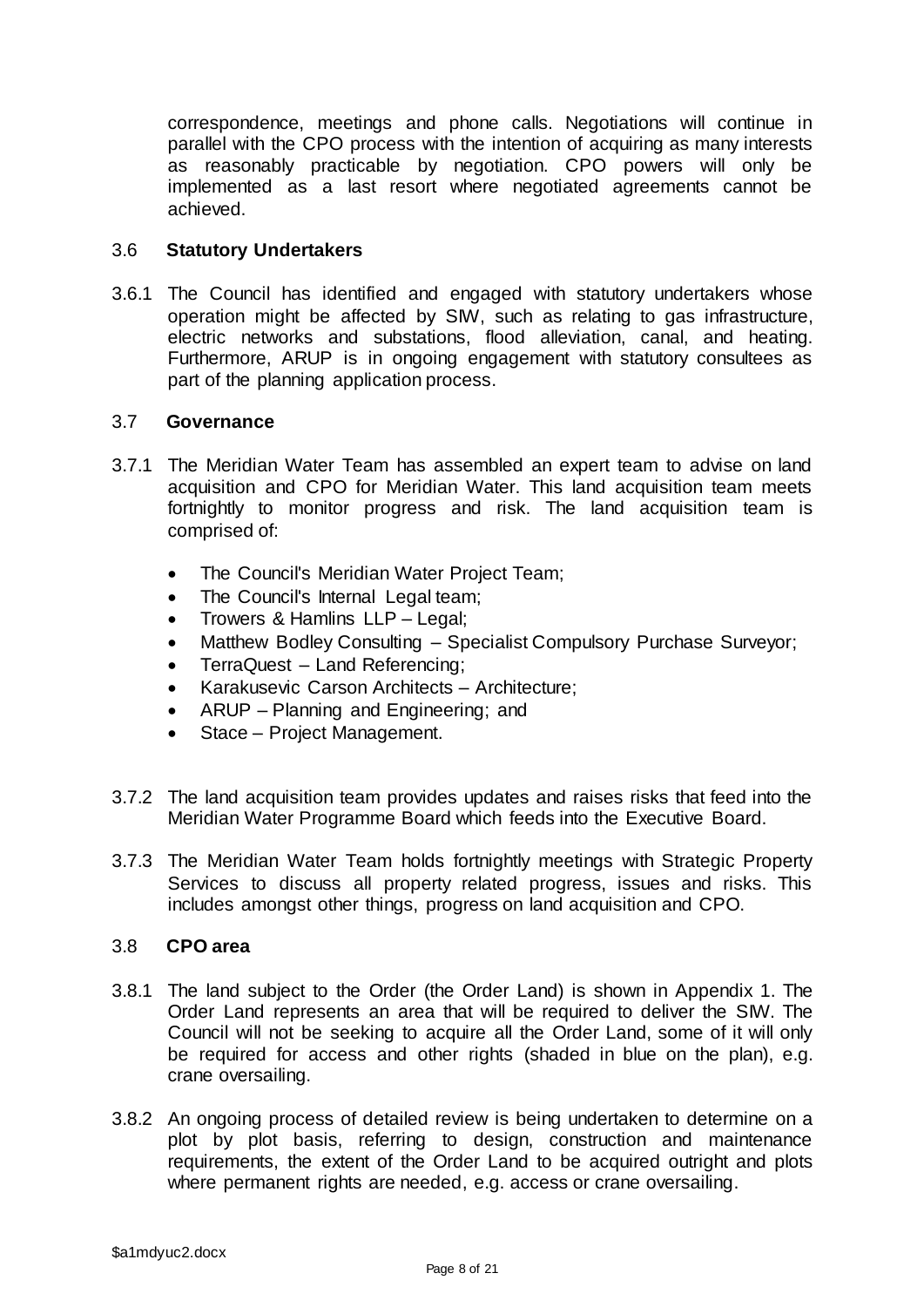correspondence, meetings and phone calls. Negotiations will continue in parallel with the CPO process with the intention of acquiring as many interests as reasonably practicable by negotiation. CPO powers will only be implemented as a last resort where negotiated agreements cannot be achieved.

### 3.6 **Statutory Undertakers**

3.6.1 The Council has identified and engaged with statutory undertakers whose operation might be affected by SIW, such as relating to gas infrastructure, electric networks and substations, flood alleviation, canal, and heating. Furthermore, ARUP is in ongoing engagement with statutory consultees as part of the planning application process.

### 3.7 **Governance**

- 3.7.1 The Meridian Water Team has assembled an expert team to advise on land acquisition and CPO for Meridian Water. This land acquisition team meets fortnightly to monitor progress and risk. The land acquisition team is comprised of:
	- The Council's Meridian Water Project Team;
	- The Council's Internal Legal team;
	- Trowers & Hamlins LLP Legal;
	- Matthew Bodley Consulting Specialist Compulsory Purchase Surveyor;
	- TerraQuest Land Referencing;
	- Karakusevic Carson Architects Architecture;
	- ARUP Planning and Engineering; and
	- Stace Project Management.
- 3.7.2 The land acquisition team provides updates and raises risks that feed into the Meridian Water Programme Board which feeds into the Executive Board.
- 3.7.3 The Meridian Water Team holds fortnightly meetings with Strategic Property Services to discuss all property related progress, issues and risks. This includes amongst other things, progress on land acquisition and CPO.

#### 3.8 **CPO area**

- 3.8.1 The land subject to the Order (the Order Land) is shown in Appendix 1. The Order Land represents an area that will be required to deliver the SIW. The Council will not be seeking to acquire all the Order Land, some of it will only be required for access and other rights (shaded in blue on the plan), e.g. crane oversailing.
- 3.8.2 An ongoing process of detailed review is being undertaken to determine on a plot by plot basis, referring to design, construction and maintenance requirements, the extent of the Order Land to be acquired outright and plots where permanent rights are needed, e.g. access or crane oversailing.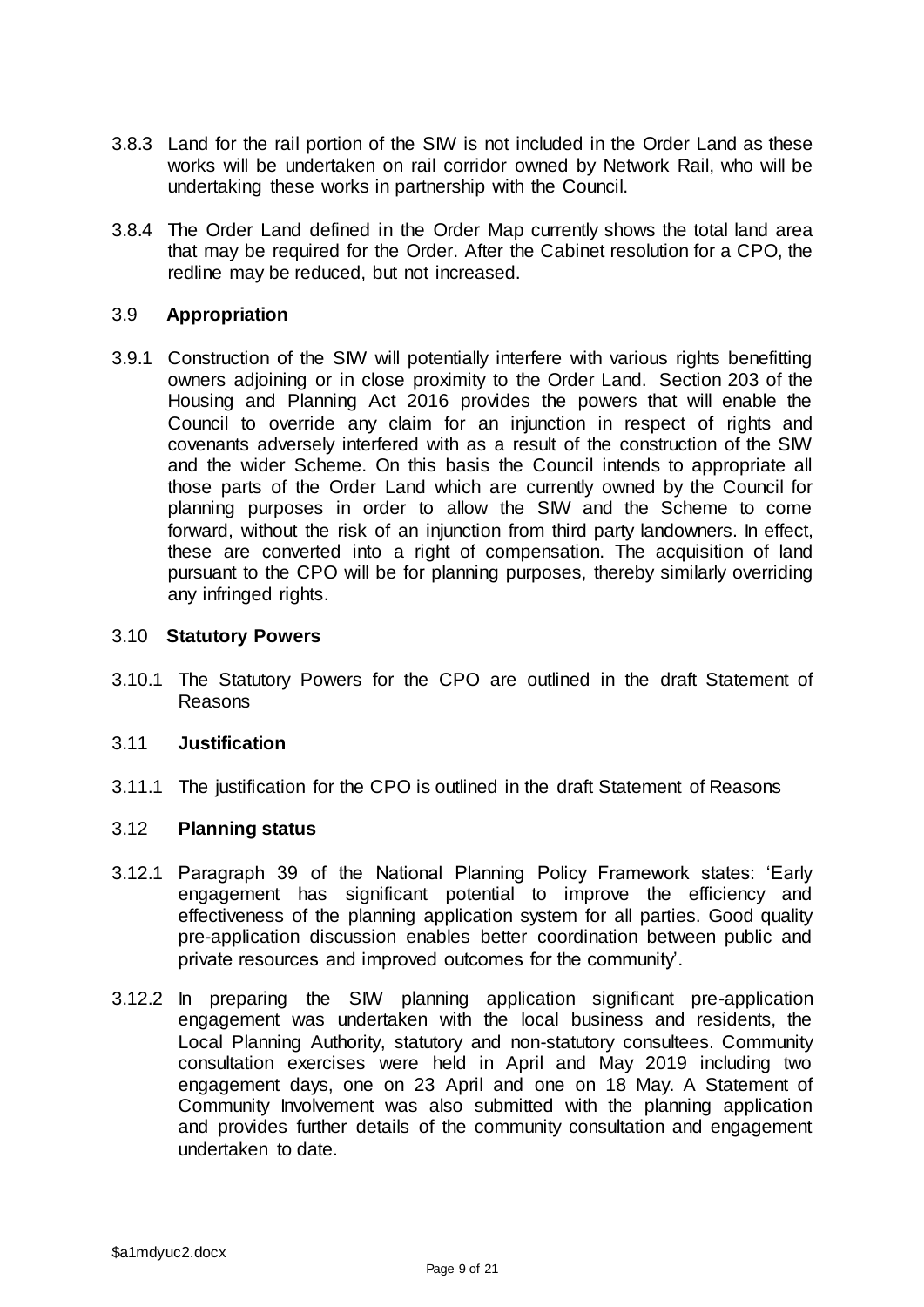- 3.8.3 Land for the rail portion of the SIW is not included in the Order Land as these works will be undertaken on rail corridor owned by Network Rail, who will be undertaking these works in partnership with the Council.
- 3.8.4 The Order Land defined in the Order Map currently shows the total land area that may be required for the Order. After the Cabinet resolution for a CPO, the redline may be reduced, but not increased.

### 3.9 **Appropriation**

3.9.1 Construction of the SIW will potentially interfere with various rights benefitting owners adjoining or in close proximity to the Order Land. Section 203 of the Housing and Planning Act 2016 provides the powers that will enable the Council to override any claim for an injunction in respect of rights and covenants adversely interfered with as a result of the construction of the SIW and the wider Scheme. On this basis the Council intends to appropriate all those parts of the Order Land which are currently owned by the Council for planning purposes in order to allow the SIW and the Scheme to come forward, without the risk of an injunction from third party landowners. In effect, these are converted into a right of compensation. The acquisition of land pursuant to the CPO will be for planning purposes, thereby similarly overriding any infringed rights.

#### 3.10 **Statutory Powers**

3.10.1 The Statutory Powers for the CPO are outlined in the draft Statement of Reasons

#### 3.11 **Justification**

3.11.1 The justification for the CPO is outlined in the draft Statement of Reasons

#### 3.12 **Planning status**

- 3.12.1 Paragraph 39 of the National Planning Policy Framework states: 'Early engagement has significant potential to improve the efficiency and effectiveness of the planning application system for all parties. Good quality pre-application discussion enables better coordination between public and private resources and improved outcomes for the community'.
- 3.12.2 In preparing the SIW planning application significant pre-application engagement was undertaken with the local business and residents, the Local Planning Authority, statutory and non-statutory consultees. Community consultation exercises were held in April and May 2019 including two engagement days, one on 23 April and one on 18 May. A Statement of Community Involvement was also submitted with the planning application and provides further details of the community consultation and engagement undertaken to date.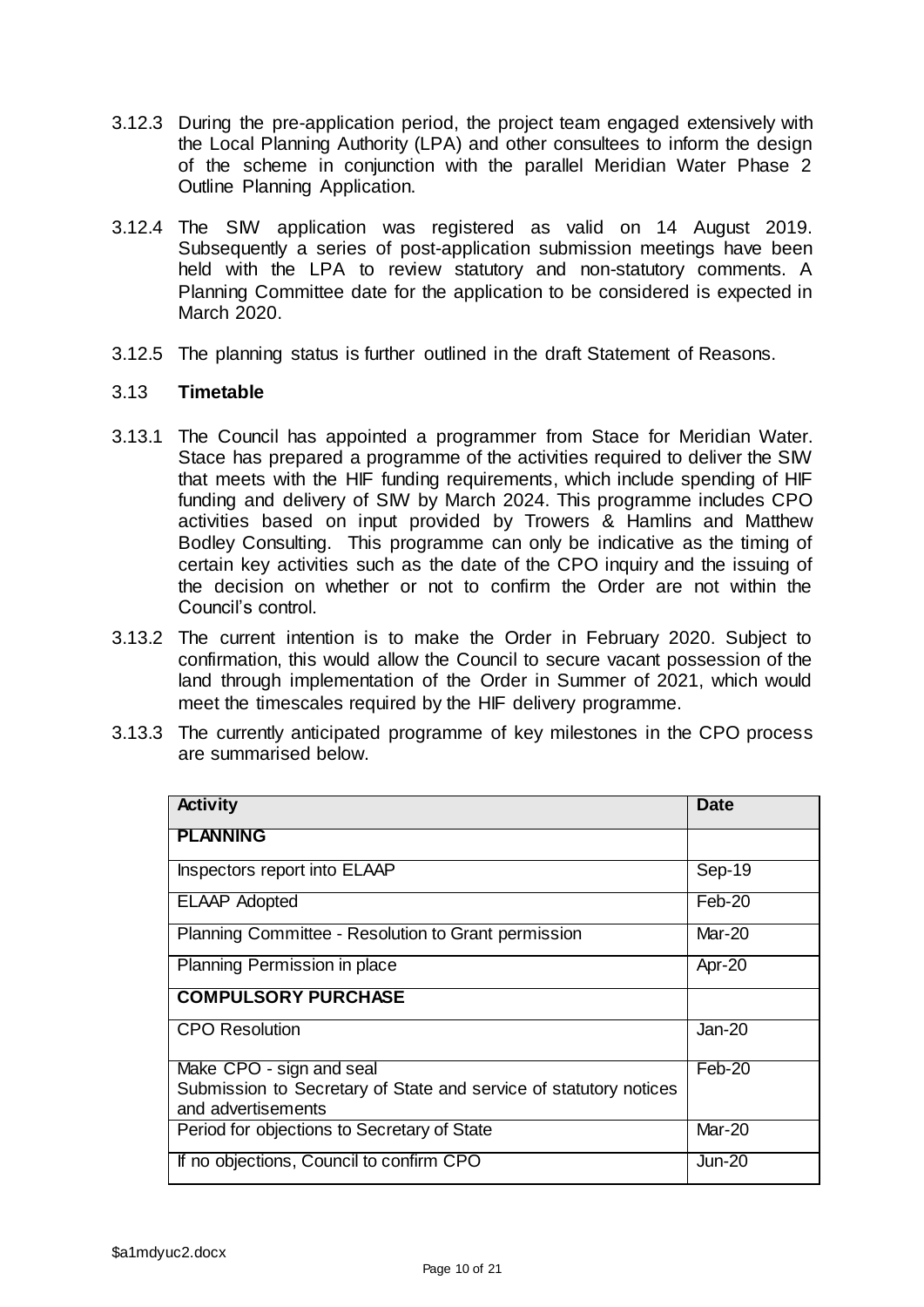- 3.12.3 During the pre-application period, the project team engaged extensively with the Local Planning Authority (LPA) and other consultees to inform the design of the scheme in conjunction with the parallel Meridian Water Phase 2 Outline Planning Application.
- 3.12.4 The SIW application was registered as valid on 14 August 2019. Subsequently a series of post-application submission meetings have been held with the LPA to review statutory and non-statutory comments. A Planning Committee date for the application to be considered is expected in March 2020.
- 3.12.5 The planning status is further outlined in the draft Statement of Reasons.

### 3.13 **Timetable**

- 3.13.1 The Council has appointed a programmer from Stace for Meridian Water. Stace has prepared a programme of the activities required to deliver the SIW that meets with the HIF funding requirements, which include spending of HIF funding and delivery of SIW by March 2024. This programme includes CPO activities based on input provided by Trowers & Hamlins and Matthew Bodley Consulting. This programme can only be indicative as the timing of certain key activities such as the date of the CPO inquiry and the issuing of the decision on whether or not to confirm the Order are not within the Council's control.
- 3.13.2 The current intention is to make the Order in February 2020. Subject to confirmation, this would allow the Council to secure vacant possession of the land through implementation of the Order in Summer of 2021, which would meet the timescales required by the HIF delivery programme.
- 3.13.3 The currently anticipated programme of key milestones in the CPO process are summarised below.

| <b>Activity</b>                                                   | <b>Date</b>   |
|-------------------------------------------------------------------|---------------|
| <b>PLANNING</b>                                                   |               |
| Inspectors report into ELAAP                                      | Sep-19        |
| <b>ELAAP Adopted</b>                                              | Feb-20        |
| Planning Committee - Resolution to Grant permission               | Mar-20        |
| Planning Permission in place                                      | Apr-20        |
| <b>COMPULSORY PURCHASE</b>                                        |               |
| <b>CPO Resolution</b>                                             | Jan-20        |
| Make CPO - sign and seal                                          | Feb-20        |
| Submission to Secretary of State and service of statutory notices |               |
| and advertisements                                                |               |
| Period for objections to Secretary of State                       | Mar-20        |
| If no objections, Council to confirm CPO                          | <b>Jun-20</b> |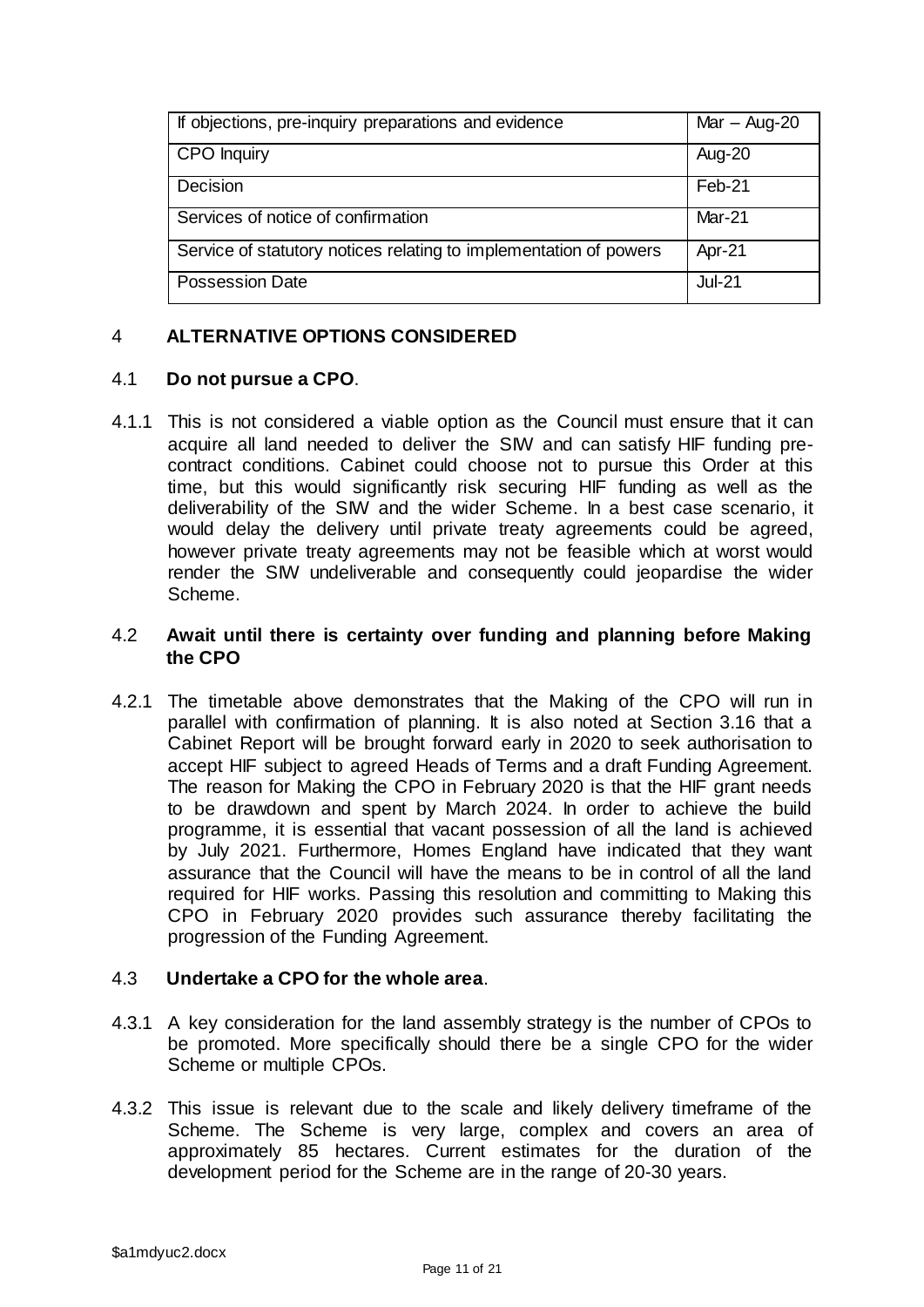| If objections, pre-inquiry preparations and evidence              | $Mar - Aug-20$ |
|-------------------------------------------------------------------|----------------|
| <b>CPO</b> Inquiry                                                | Aug-20         |
| Decision                                                          | Feb-21         |
| Services of notice of confirmation                                | Mar-21         |
| Service of statutory notices relating to implementation of powers | Apr-21         |
| <b>Possession Date</b>                                            | <b>Jul-21</b>  |

# 4 **ALTERNATIVE OPTIONS CONSIDERED**

# 4.1 **Do not pursue a CPO**.

4.1.1 This is not considered a viable option as the Council must ensure that it can acquire all land needed to deliver the SIW and can satisfy HIF funding precontract conditions. Cabinet could choose not to pursue this Order at this time, but this would significantly risk securing HIF funding as well as the deliverability of the SIW and the wider Scheme. In a best case scenario, it would delay the delivery until private treaty agreements could be agreed, however private treaty agreements may not be feasible which at worst would render the SIW undeliverable and consequently could jeopardise the wider Scheme.

### 4.2 **Await until there is certainty over funding and planning before Making the CPO**

4.2.1 The timetable above demonstrates that the Making of the CPO will run in parallel with confirmation of planning. It is also noted at Section 3.16 that a Cabinet Report will be brought forward early in 2020 to seek authorisation to accept HIF subject to agreed Heads of Terms and a draft Funding Agreement. The reason for Making the CPO in February 2020 is that the HIF grant needs to be drawdown and spent by March 2024. In order to achieve the build programme, it is essential that vacant possession of all the land is achieved by July 2021. Furthermore, Homes England have indicated that they want assurance that the Council will have the means to be in control of all the land required for HIF works. Passing this resolution and committing to Making this CPO in February 2020 provides such assurance thereby facilitating the progression of the Funding Agreement.

#### 4.3 **Undertake a CPO for the whole area**.

- 4.3.1 A key consideration for the land assembly strategy is the number of CPOs to be promoted. More specifically should there be a single CPO for the wider Scheme or multiple CPOs.
- 4.3.2 This issue is relevant due to the scale and likely delivery timeframe of the Scheme. The Scheme is very large, complex and covers an area of approximately 85 hectares. Current estimates for the duration of the development period for the Scheme are in the range of 20-30 years.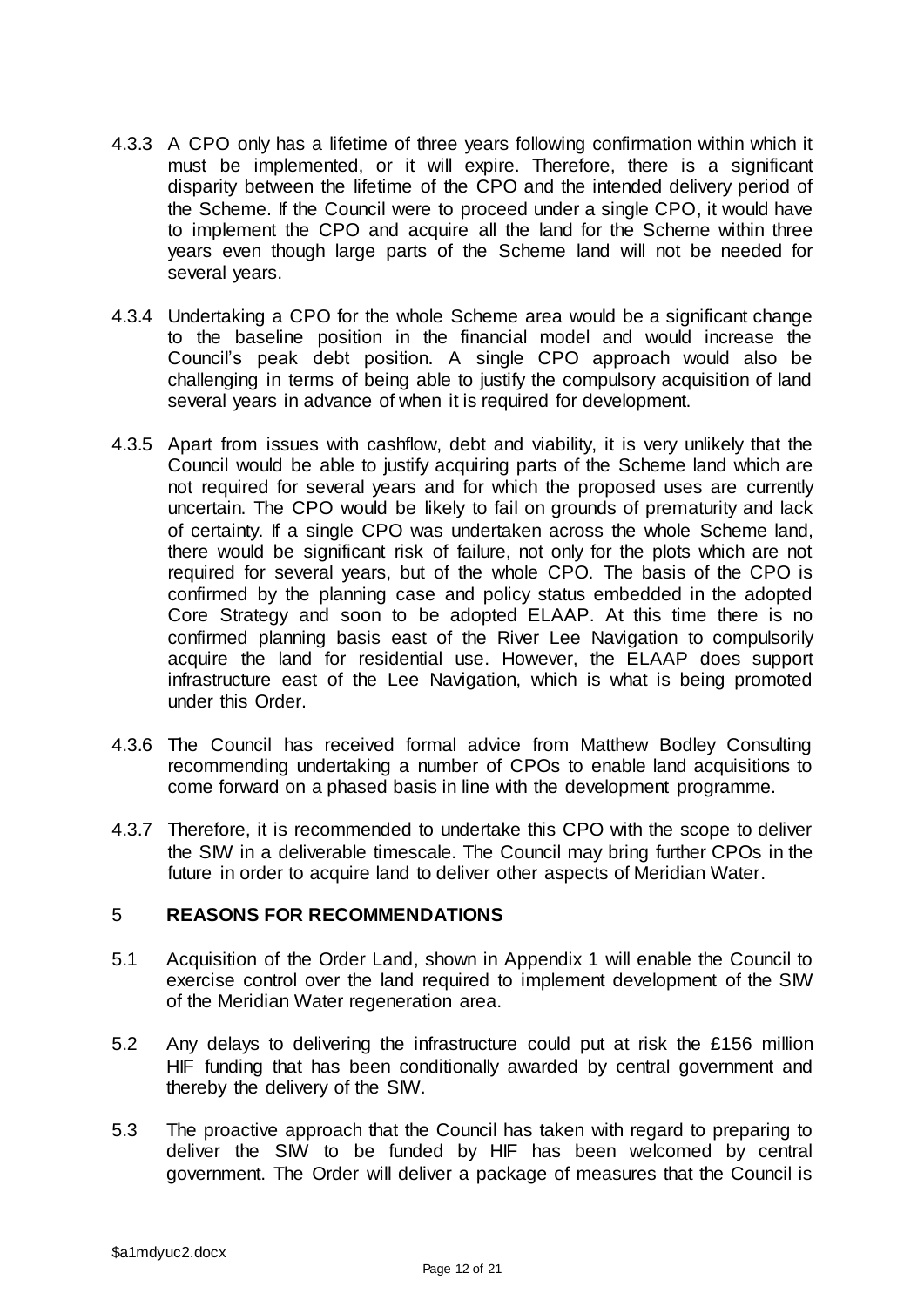- 4.3.3 A CPO only has a lifetime of three years following confirmation within which it must be implemented, or it will expire. Therefore, there is a significant disparity between the lifetime of the CPO and the intended delivery period of the Scheme. If the Council were to proceed under a single CPO, it would have to implement the CPO and acquire all the land for the Scheme within three years even though large parts of the Scheme land will not be needed for several years.
- 4.3.4 Undertaking a CPO for the whole Scheme area would be a significant change to the baseline position in the financial model and would increase the Council's peak debt position. A single CPO approach would also be challenging in terms of being able to justify the compulsory acquisition of land several years in advance of when it is required for development.
- 4.3.5 Apart from issues with cashflow, debt and viability, it is very unlikely that the Council would be able to justify acquiring parts of the Scheme land which are not required for several years and for which the proposed uses are currently uncertain. The CPO would be likely to fail on grounds of prematurity and lack of certainty. If a single CPO was undertaken across the whole Scheme land, there would be significant risk of failure, not only for the plots which are not required for several years, but of the whole CPO. The basis of the CPO is confirmed by the planning case and policy status embedded in the adopted Core Strategy and soon to be adopted ELAAP. At this time there is no confirmed planning basis east of the River Lee Navigation to compulsorily acquire the land for residential use. However, the ELAAP does support infrastructure east of the Lee Navigation, which is what is being promoted under this Order.
- 4.3.6 The Council has received formal advice from Matthew Bodley Consulting recommending undertaking a number of CPOs to enable land acquisitions to come forward on a phased basis in line with the development programme.
- 4.3.7 Therefore, it is recommended to undertake this CPO with the scope to deliver the SIW in a deliverable timescale. The Council may bring further CPOs in the future in order to acquire land to deliver other aspects of Meridian Water.

# 5 **REASONS FOR RECOMMENDATIONS**

- 5.1 Acquisition of the Order Land, shown in Appendix 1 will enable the Council to exercise control over the land required to implement development of the SIW of the Meridian Water regeneration area.
- 5.2 Any delays to delivering the infrastructure could put at risk the £156 million HIF funding that has been conditionally awarded by central government and thereby the delivery of the SIW.
- 5.3 The proactive approach that the Council has taken with regard to preparing to deliver the SIW to be funded by HIF has been welcomed by central government. The Order will deliver a package of measures that the Council is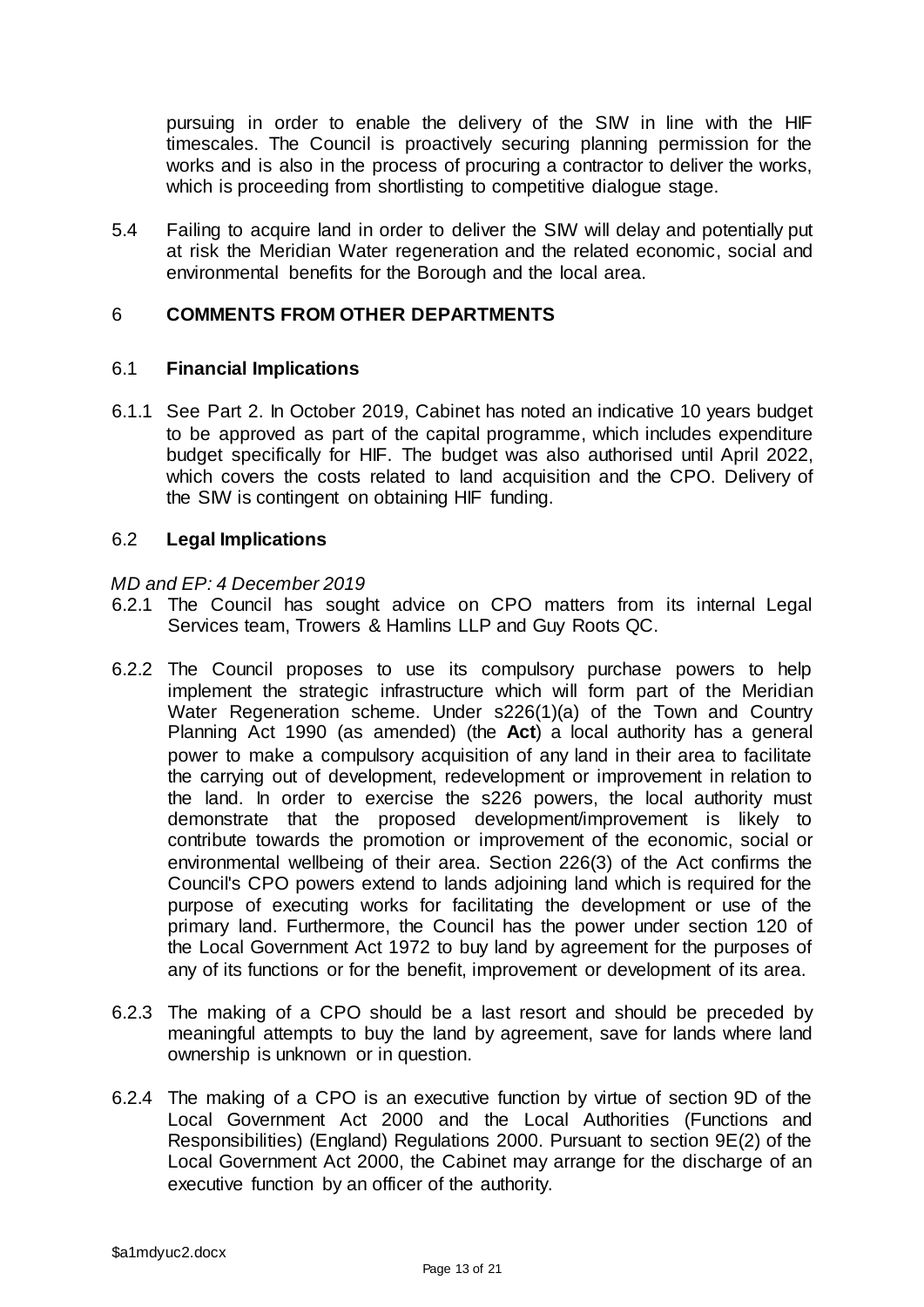pursuing in order to enable the delivery of the SIW in line with the HIF timescales. The Council is proactively securing planning permission for the works and is also in the process of procuring a contractor to deliver the works, which is proceeding from shortlisting to competitive dialogue stage.

5.4 Failing to acquire land in order to deliver the SIW will delay and potentially put at risk the Meridian Water regeneration and the related economic, social and environmental benefits for the Borough and the local area.

# 6 **COMMENTS FROM OTHER DEPARTMENTS**

#### 6.1 **Financial Implications**

6.1.1 See Part 2. In October 2019, Cabinet has noted an indicative 10 years budget to be approved as part of the capital programme, which includes expenditure budget specifically for HIF. The budget was also authorised until April 2022, which covers the costs related to land acquisition and the CPO. Delivery of the SIW is contingent on obtaining HIF funding.

### 6.2 **Legal Implications**

#### *MD and EP: 4 December 2019*

- 6.2.1 The Council has sought advice on CPO matters from its internal Legal Services team, Trowers & Hamlins LLP and Guy Roots QC.
- 6.2.2 The Council proposes to use its compulsory purchase powers to help implement the strategic infrastructure which will form part of the Meridian Water Regeneration scheme. Under s226(1)(a) of the Town and Country Planning Act 1990 (as amended) (the **Act**) a local authority has a general power to make a compulsory acquisition of any land in their area to facilitate the carrying out of development, redevelopment or improvement in relation to the land. In order to exercise the s226 powers, the local authority must demonstrate that the proposed development/improvement is likely to contribute towards the promotion or improvement of the economic, social or environmental wellbeing of their area. Section 226(3) of the Act confirms the Council's CPO powers extend to lands adjoining land which is required for the purpose of executing works for facilitating the development or use of the primary land. Furthermore, the Council has the power under section 120 of the Local Government Act 1972 to buy land by agreement for the purposes of any of its functions or for the benefit, improvement or development of its area.
- 6.2.3 The making of a CPO should be a last resort and should be preceded by meaningful attempts to buy the land by agreement, save for lands where land ownership is unknown or in question.
- 6.2.4 The making of a CPO is an executive function by virtue of section 9D of the Local Government Act 2000 and the Local Authorities (Functions and Responsibilities) (England) Regulations 2000. Pursuant to section 9E(2) of the Local Government Act 2000, the Cabinet may arrange for the discharge of an executive function by an officer of the authority.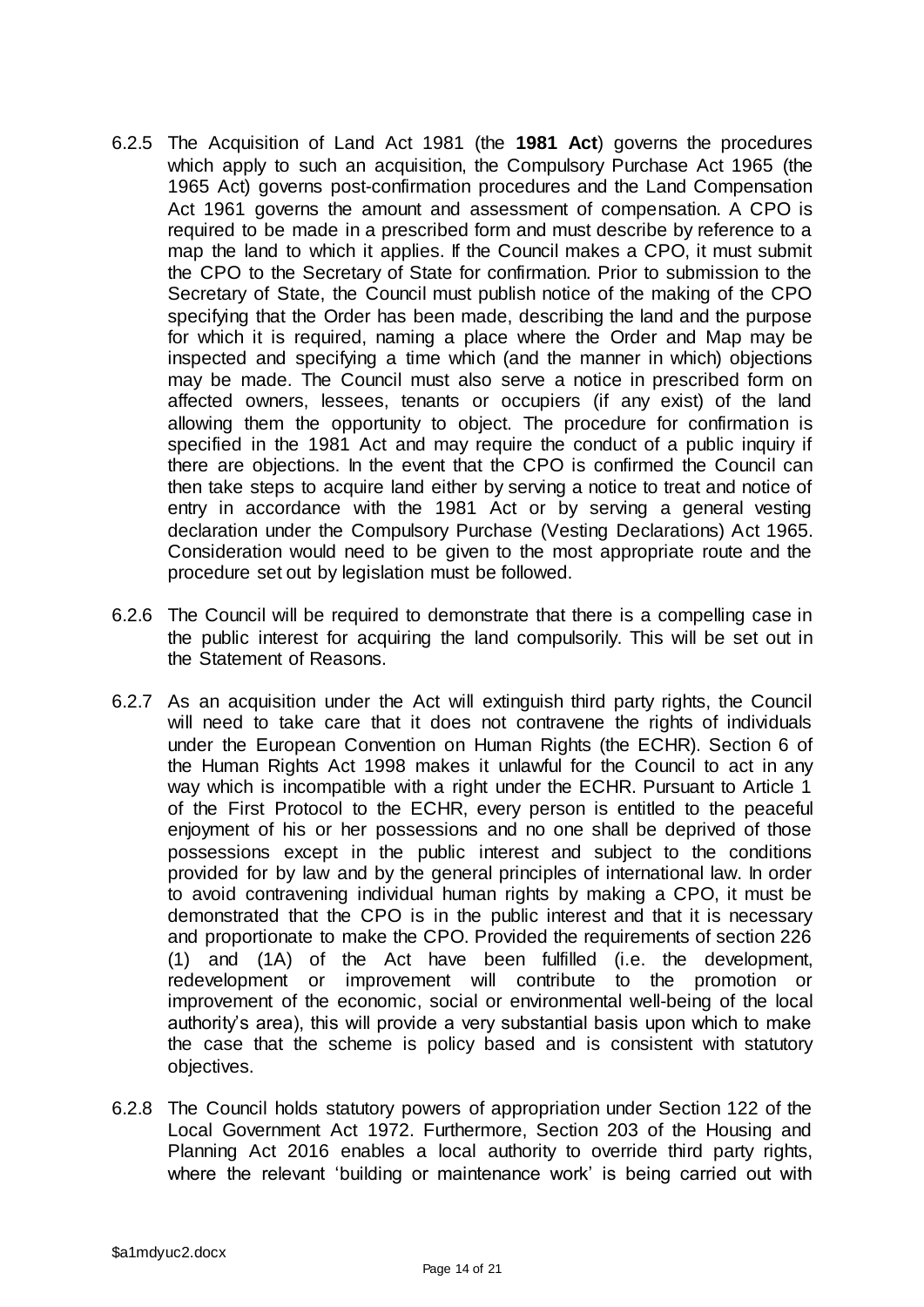- 6.2.5 The Acquisition of Land Act 1981 (the **1981 Act**) governs the procedures which apply to such an acquisition, the Compulsory Purchase Act 1965 (the 1965 Act) governs post-confirmation procedures and the Land Compensation Act 1961 governs the amount and assessment of compensation. A CPO is required to be made in a prescribed form and must describe by reference to a map the land to which it applies. If the Council makes a CPO, it must submit the CPO to the Secretary of State for confirmation. Prior to submission to the Secretary of State, the Council must publish notice of the making of the CPO specifying that the Order has been made, describing the land and the purpose for which it is required, naming a place where the Order and Map may be inspected and specifying a time which (and the manner in which) objections may be made. The Council must also serve a notice in prescribed form on affected owners, lessees, tenants or occupiers (if any exist) of the land allowing them the opportunity to object. The procedure for confirmation is specified in the 1981 Act and may require the conduct of a public inquiry if there are objections. In the event that the CPO is confirmed the Council can then take steps to acquire land either by serving a notice to treat and notice of entry in accordance with the 1981 Act or by serving a general vesting declaration under the Compulsory Purchase (Vesting Declarations) Act 1965. Consideration would need to be given to the most appropriate route and the procedure set out by legislation must be followed.
- 6.2.6 The Council will be required to demonstrate that there is a compelling case in the public interest for acquiring the land compulsorily. This will be set out in the Statement of Reasons.
- 6.2.7 As an acquisition under the Act will extinguish third party rights, the Council will need to take care that it does not contravene the rights of individuals under the European Convention on Human Rights (the ECHR). Section 6 of the Human Rights Act 1998 makes it unlawful for the Council to act in any way which is incompatible with a right under the ECHR. Pursuant to Article 1 of the First Protocol to the ECHR, every person is entitled to the peaceful enjoyment of his or her possessions and no one shall be deprived of those possessions except in the public interest and subject to the conditions provided for by law and by the general principles of international law. In order to avoid contravening individual human rights by making a CPO, it must be demonstrated that the CPO is in the public interest and that it is necessary and proportionate to make the CPO. Provided the requirements of section 226 (1) and (1A) of the Act have been fulfilled (i.e. the development, redevelopment or improvement will contribute to the promotion or improvement of the economic, social or environmental well-being of the local authority's area), this will provide a very substantial basis upon which to make the case that the scheme is policy based and is consistent with statutory objectives.
- 6.2.8 The Council holds statutory powers of appropriation under Section 122 of the Local Government Act 1972. Furthermore, Section 203 of the Housing and Planning Act 2016 enables a local authority to override third party rights, where the relevant 'building or maintenance work' is being carried out with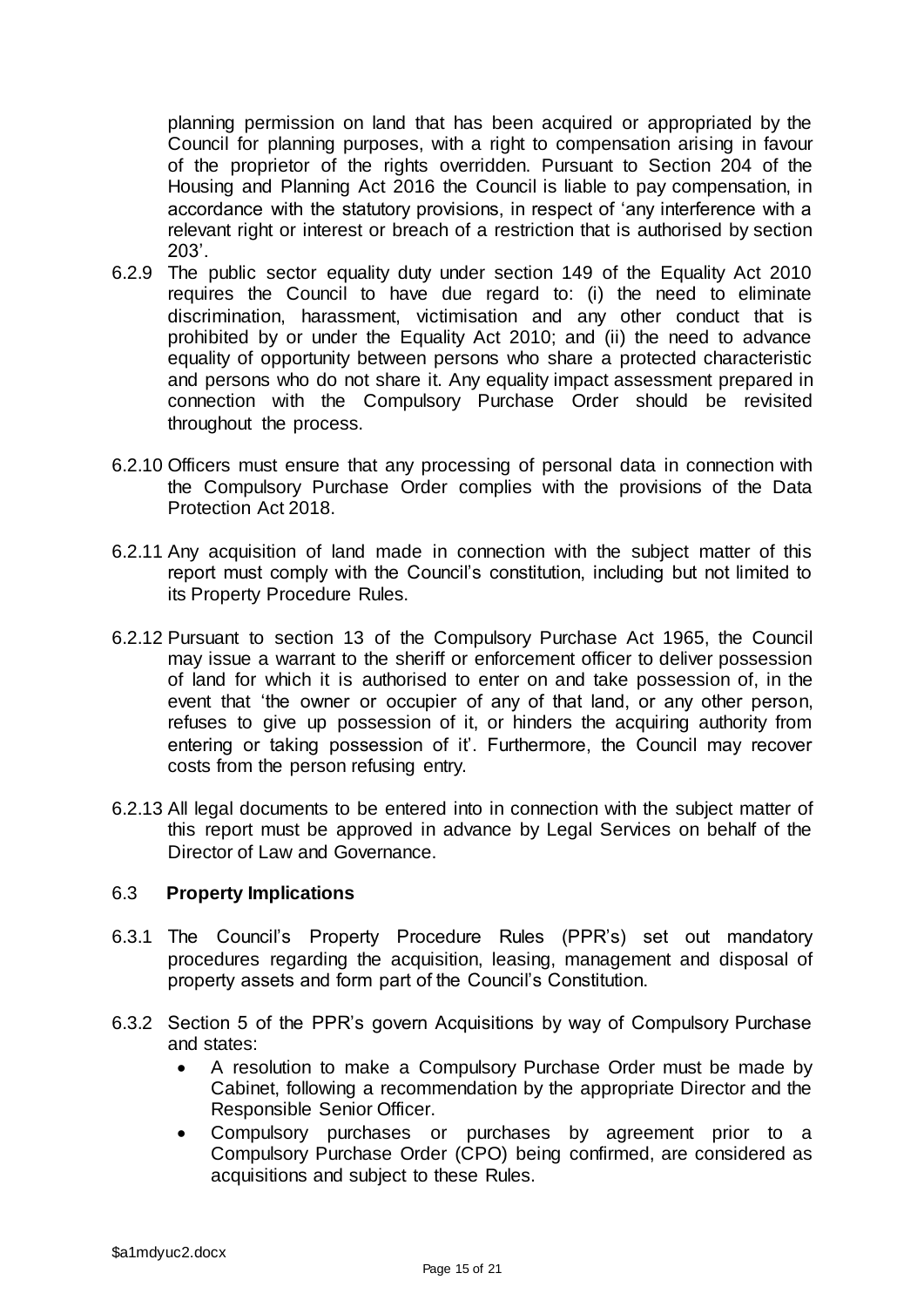planning permission on land that has been acquired or appropriated by the Council for planning purposes, with a right to compensation arising in favour of the proprietor of the rights overridden. Pursuant to Section 204 of the Housing and Planning Act 2016 the Council is liable to pay compensation, in accordance with the statutory provisions, in respect of 'any interference with a relevant right or interest or breach of a restriction that is authorised by section 203'.

- 6.2.9 The public sector equality duty under section 149 of the Equality Act 2010 requires the Council to have due regard to: (i) the need to eliminate discrimination, harassment, victimisation and any other conduct that is prohibited by or under the Equality Act 2010; and (ii) the need to advance equality of opportunity between persons who share a protected characteristic and persons who do not share it. Any equality impact assessment prepared in connection with the Compulsory Purchase Order should be revisited throughout the process.
- 6.2.10 Officers must ensure that any processing of personal data in connection with the Compulsory Purchase Order complies with the provisions of the Data Protection Act 2018.
- 6.2.11 Any acquisition of land made in connection with the subject matter of this report must comply with the Council's constitution, including but not limited to its Property Procedure Rules.
- 6.2.12 Pursuant to section 13 of the Compulsory Purchase Act 1965, the Council may issue a warrant to the sheriff or enforcement officer to deliver possession of land for which it is authorised to enter on and take possession of, in the event that 'the owner or occupier of any of that land, or any other person, refuses to give up possession of it, or hinders the acquiring authority from entering or taking possession of it'. Furthermore, the Council may recover costs from the person refusing entry.
- 6.2.13 All legal documents to be entered into in connection with the subject matter of this report must be approved in advance by Legal Services on behalf of the Director of Law and Governance.

# 6.3 **Property Implications**

- 6.3.1 The Council's Property Procedure Rules (PPR's) set out mandatory procedures regarding the acquisition, leasing, management and disposal of property assets and form part of the Council's Constitution.
- 6.3.2 Section 5 of the PPR's govern Acquisitions by way of Compulsory Purchase and states:
	- A resolution to make a Compulsory Purchase Order must be made by Cabinet, following a recommendation by the appropriate Director and the Responsible Senior Officer.
	- Compulsory purchases or purchases by agreement prior to a Compulsory Purchase Order (CPO) being confirmed, are considered as acquisitions and subject to these Rules.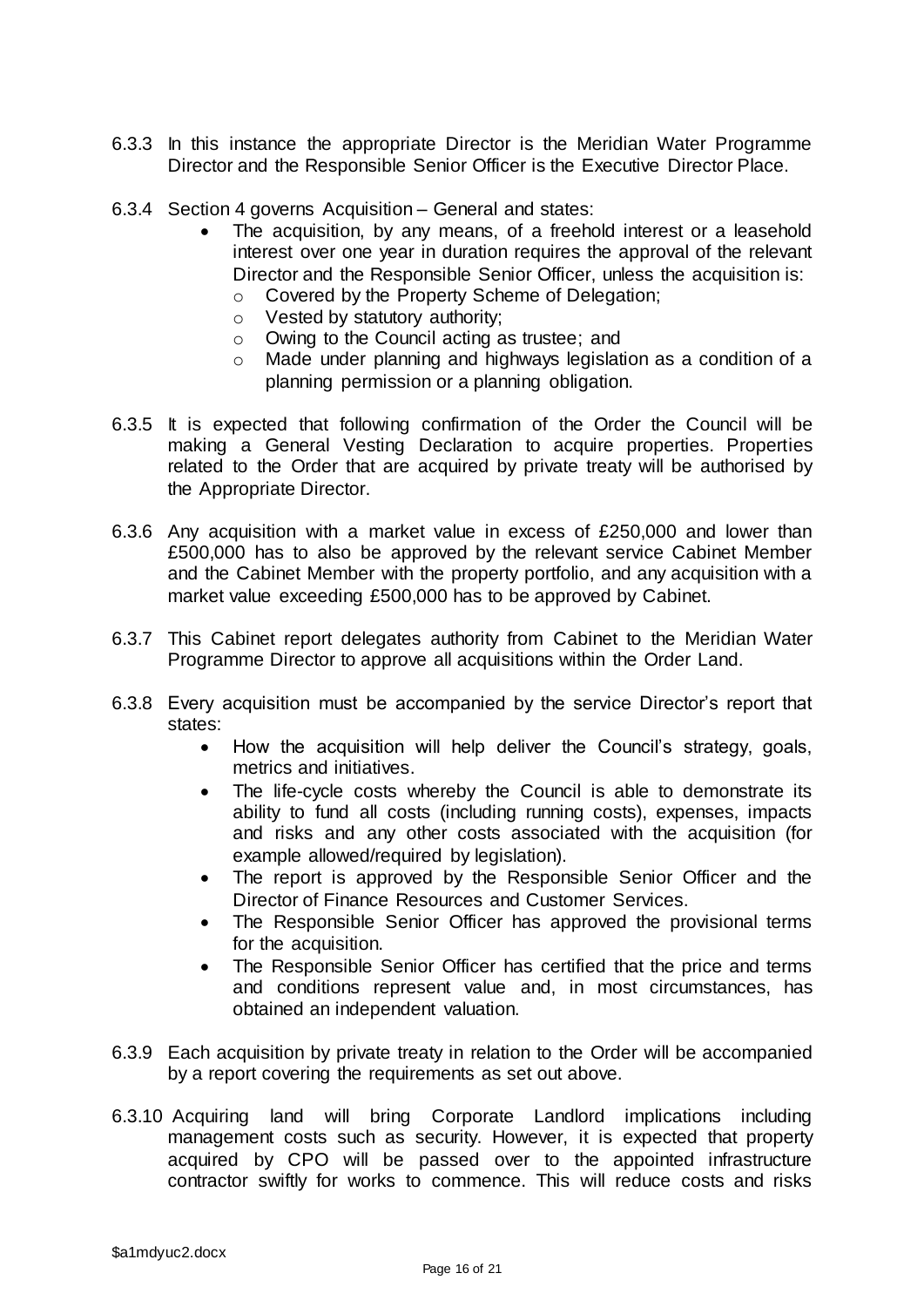- 6.3.3 In this instance the appropriate Director is the Meridian Water Programme Director and the Responsible Senior Officer is the Executive Director Place.
- 6.3.4 Section 4 governs Acquisition General and states:
	- The acquisition, by any means, of a freehold interest or a leasehold interest over one year in duration requires the approval of the relevant Director and the Responsible Senior Officer, unless the acquisition is:
		- o Covered by the Property Scheme of Delegation;
			- o Vested by statutory authority;
		- o Owing to the Council acting as trustee; and
		- o Made under planning and highways legislation as a condition of a planning permission or a planning obligation.
- 6.3.5 It is expected that following confirmation of the Order the Council will be making a General Vesting Declaration to acquire properties. Properties related to the Order that are acquired by private treaty will be authorised by the Appropriate Director.
- 6.3.6 Any acquisition with a market value in excess of £250,000 and lower than £500,000 has to also be approved by the relevant service Cabinet Member and the Cabinet Member with the property portfolio, and any acquisition with a market value exceeding £500,000 has to be approved by Cabinet.
- 6.3.7 This Cabinet report delegates authority from Cabinet to the Meridian Water Programme Director to approve all acquisitions within the Order Land.
- 6.3.8 Every acquisition must be accompanied by the service Director's report that states:
	- How the acquisition will help deliver the Council's strategy, goals, metrics and initiatives.
	- The life-cycle costs whereby the Council is able to demonstrate its ability to fund all costs (including running costs), expenses, impacts and risks and any other costs associated with the acquisition (for example allowed/required by legislation).
	- The report is approved by the Responsible Senior Officer and the Director of Finance Resources and Customer Services.
	- The Responsible Senior Officer has approved the provisional terms for the acquisition.
	- The Responsible Senior Officer has certified that the price and terms and conditions represent value and, in most circumstances, has obtained an independent valuation.
- 6.3.9 Each acquisition by private treaty in relation to the Order will be accompanied by a report covering the requirements as set out above.
- 6.3.10 Acquiring land will bring Corporate Landlord implications including management costs such as security. However, it is expected that property acquired by CPO will be passed over to the appointed infrastructure contractor swiftly for works to commence. This will reduce costs and risks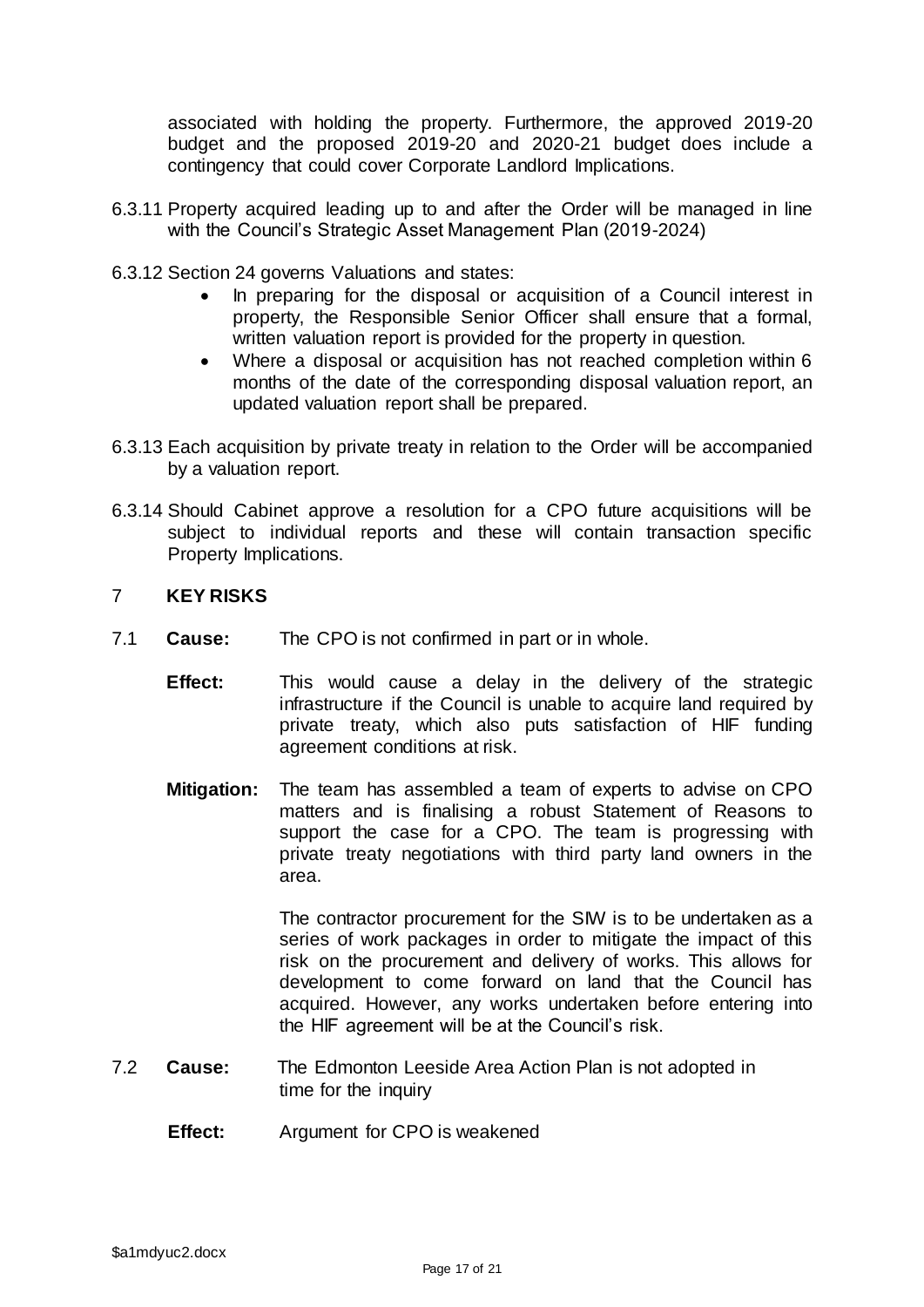associated with holding the property. Furthermore, the approved 2019-20 budget and the proposed 2019-20 and 2020-21 budget does include a contingency that could cover Corporate Landlord Implications.

- 6.3.11 Property acquired leading up to and after the Order will be managed in line with the Council's Strategic Asset Management Plan (2019-2024)
- 6.3.12 Section 24 governs Valuations and states:
	- In preparing for the disposal or acquisition of a Council interest in property, the Responsible Senior Officer shall ensure that a formal, written valuation report is provided for the property in question.
	- Where a disposal or acquisition has not reached completion within 6 months of the date of the corresponding disposal valuation report, an updated valuation report shall be prepared.
- 6.3.13 Each acquisition by private treaty in relation to the Order will be accompanied by a valuation report.
- 6.3.14 Should Cabinet approve a resolution for a CPO future acquisitions will be subject to individual reports and these will contain transaction specific Property Implications.

# 7 **KEY RISKS**

- 7.1 **Cause:** The CPO is not confirmed in part or in whole.
	- **Effect:** This would cause a delay in the delivery of the strategic infrastructure if the Council is unable to acquire land required by private treaty, which also puts satisfaction of HIF funding agreement conditions at risk.
	- **Mitigation:** The team has assembled a team of experts to advise on CPO matters and is finalising a robust Statement of Reasons to support the case for a CPO. The team is progressing with private treaty negotiations with third party land owners in the area.

The contractor procurement for the SIW is to be undertaken as a series of work packages in order to mitigate the impact of this risk on the procurement and delivery of works. This allows for development to come forward on land that the Council has acquired. However, any works undertaken before entering into the HIF agreement will be at the Council's risk.

- 7.2 **Cause:** The Edmonton Leeside Area Action Plan is not adopted in time for the inquiry
	- **Effect:** Argument for CPO is weakened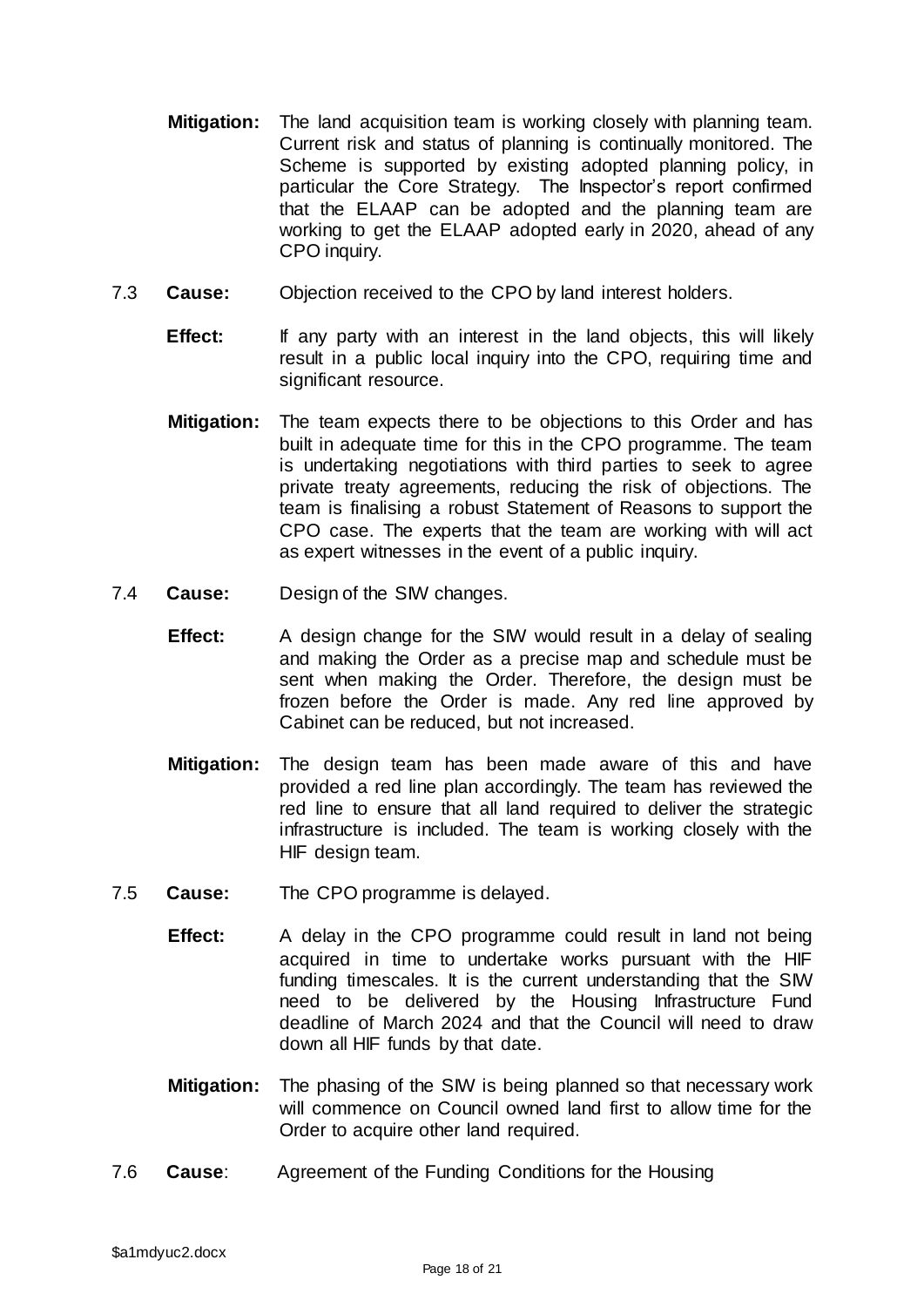- **Mitigation:** The land acquisition team is working closely with planning team. Current risk and status of planning is continually monitored. The Scheme is supported by existing adopted planning policy, in particular the Core Strategy. The Inspector's report confirmed that the ELAAP can be adopted and the planning team are working to get the ELAAP adopted early in 2020, ahead of any CPO inquiry.
- 7.3 **Cause:** Objection received to the CPO by land interest holders.
	- **Effect:** If any party with an interest in the land objects, this will likely result in a public local inquiry into the CPO, requiring time and significant resource.
	- **Mitigation:** The team expects there to be objections to this Order and has built in adequate time for this in the CPO programme. The team is undertaking negotiations with third parties to seek to agree private treaty agreements, reducing the risk of objections. The team is finalising a robust Statement of Reasons to support the CPO case. The experts that the team are working with will act as expert witnesses in the event of a public inquiry.
- 7.4 **Cause:** Design of the SIW changes.
	- **Effect:** A design change for the SIW would result in a delay of sealing and making the Order as a precise map and schedule must be sent when making the Order. Therefore, the design must be frozen before the Order is made. Any red line approved by Cabinet can be reduced, but not increased.
	- **Mitigation:** The design team has been made aware of this and have provided a red line plan accordingly. The team has reviewed the red line to ensure that all land required to deliver the strategic infrastructure is included. The team is working closely with the HIF design team.
- 7.5 **Cause:** The CPO programme is delayed.
	- **Effect:** A delay in the CPO programme could result in land not being acquired in time to undertake works pursuant with the HIF funding timescales. It is the current understanding that the SIW need to be delivered by the Housing Infrastructure Fund deadline of March 2024 and that the Council will need to draw down all HIF funds by that date.
	- **Mitigation:** The phasing of the SIW is being planned so that necessary work will commence on Council owned land first to allow time for the Order to acquire other land required.
- 7.6 **Cause**: Agreement of the Funding Conditions for the Housing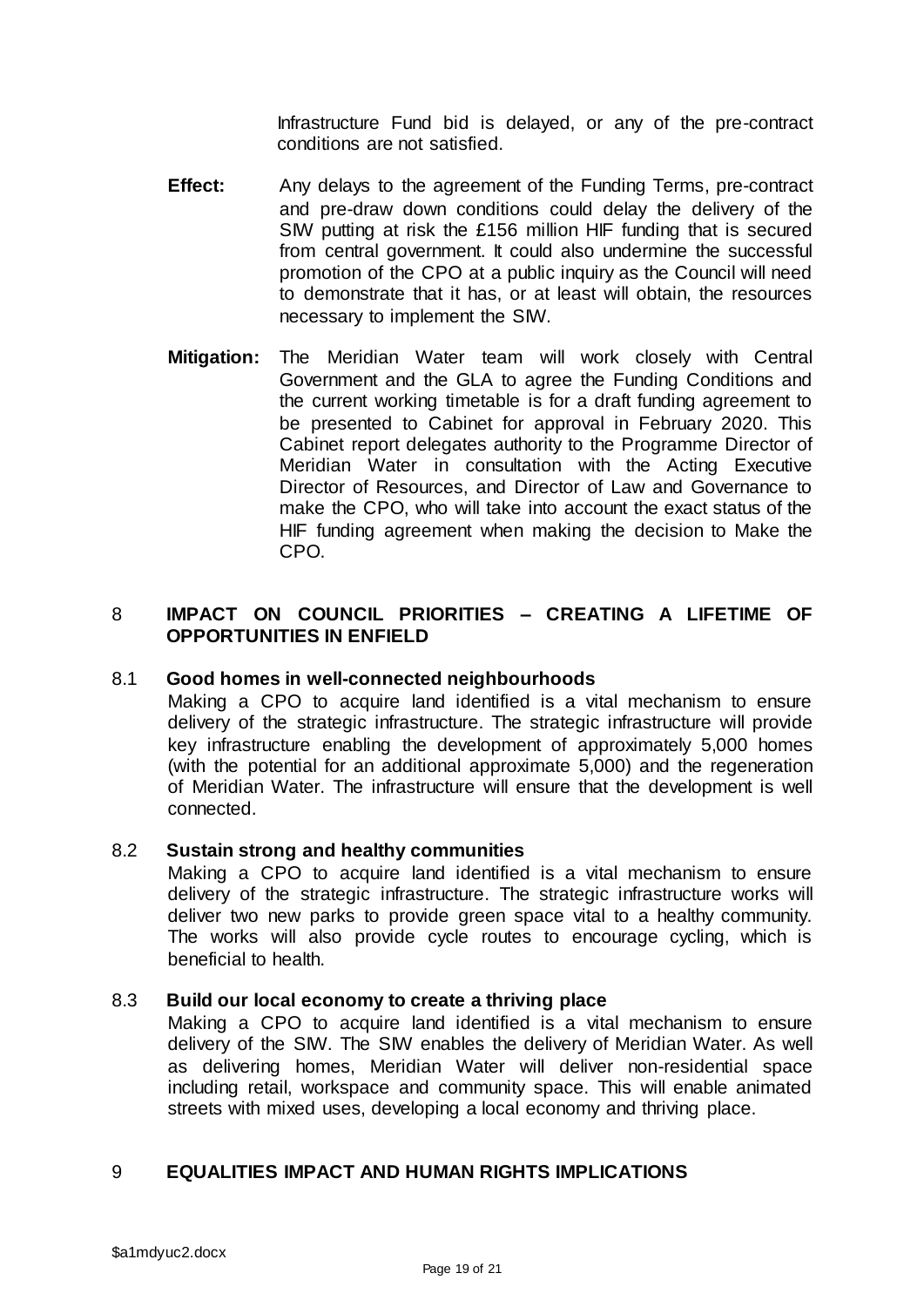Infrastructure Fund bid is delayed, or any of the pre-contract conditions are not satisfied.

- **Effect:** Any delays to the agreement of the Funding Terms, pre-contract and pre-draw down conditions could delay the delivery of the SIW putting at risk the £156 million HIF funding that is secured from central government. It could also undermine the successful promotion of the CPO at a public inquiry as the Council will need to demonstrate that it has, or at least will obtain, the resources necessary to implement the SIW.
- **Mitigation:** The Meridian Water team will work closely with Central Government and the GLA to agree the Funding Conditions and the current working timetable is for a draft funding agreement to be presented to Cabinet for approval in February 2020. This Cabinet report delegates authority to the Programme Director of Meridian Water in consultation with the Acting Executive Director of Resources, and Director of Law and Governance to make the CPO, who will take into account the exact status of the HIF funding agreement when making the decision to Make the CPO.

# 8 **IMPACT ON COUNCIL PRIORITIES – CREATING A LIFETIME OF OPPORTUNITIES IN ENFIELD**

# 8.1 **Good homes in well-connected neighbourhoods**

Making a CPO to acquire land identified is a vital mechanism to ensure delivery of the strategic infrastructure. The strategic infrastructure will provide key infrastructure enabling the development of approximately 5,000 homes (with the potential for an additional approximate 5,000) and the regeneration of Meridian Water. The infrastructure will ensure that the development is well connected.

# 8.2 **Sustain strong and healthy communities**

Making a CPO to acquire land identified is a vital mechanism to ensure delivery of the strategic infrastructure. The strategic infrastructure works will deliver two new parks to provide green space vital to a healthy community. The works will also provide cycle routes to encourage cycling, which is beneficial to health.

# 8.3 **Build our local economy to create a thriving place**

Making a CPO to acquire land identified is a vital mechanism to ensure delivery of the SIW. The SIW enables the delivery of Meridian Water. As well as delivering homes, Meridian Water will deliver non-residential space including retail, workspace and community space. This will enable animated streets with mixed uses, developing a local economy and thriving place.

# 9 **EQUALITIES IMPACT AND HUMAN RIGHTS IMPLICATIONS**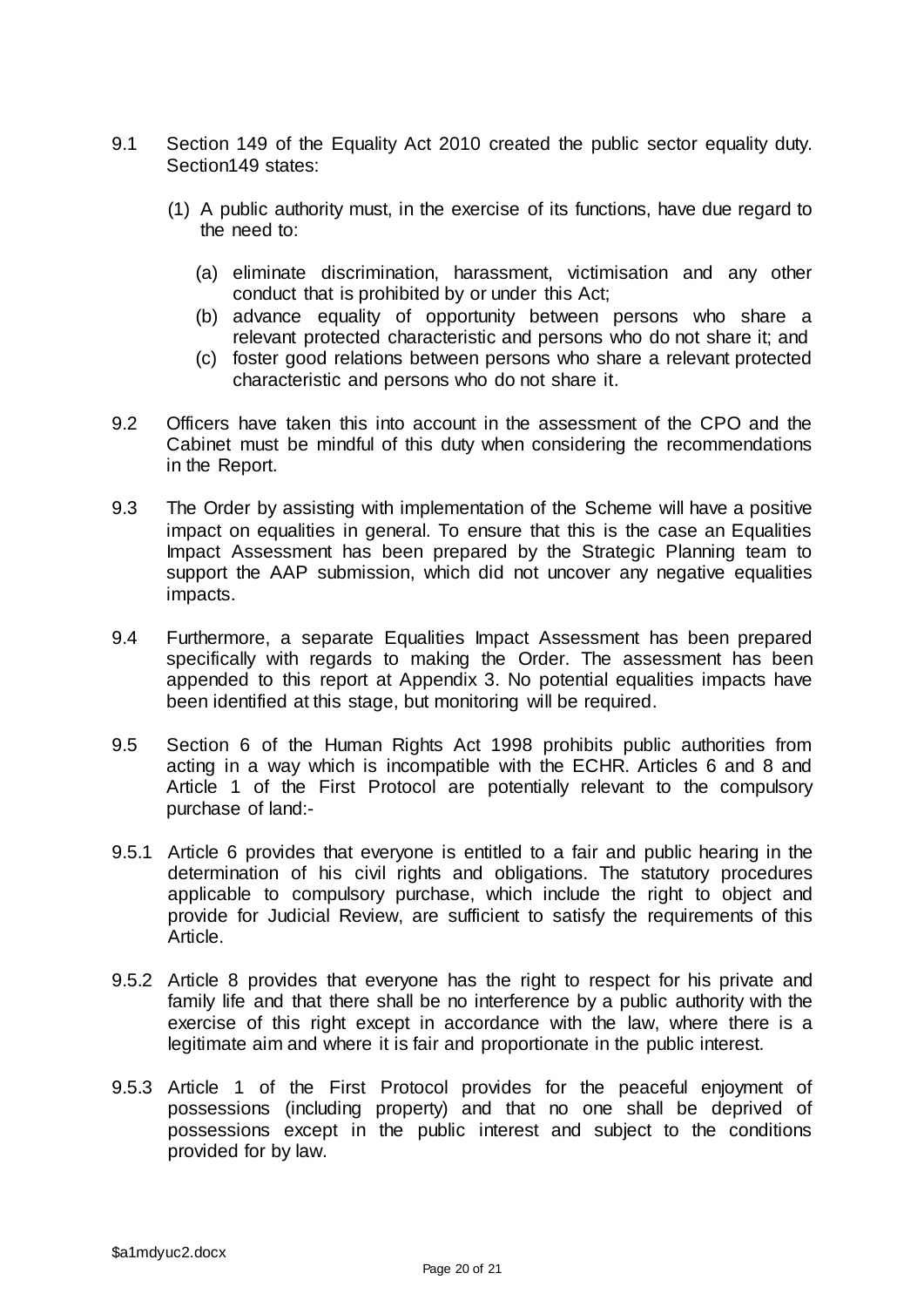- 9.1 Section 149 of the Equality Act 2010 created the public sector equality duty. Section149 states:
	- (1) A public authority must, in the exercise of its functions, have due regard to the need to:
		- (a) eliminate discrimination, harassment, victimisation and any other conduct that is prohibited by or under this Act;
		- (b) advance equality of opportunity between persons who share a relevant protected characteristic and persons who do not share it; and
		- (c) foster good relations between persons who share a relevant protected characteristic and persons who do not share it.
- 9.2 Officers have taken this into account in the assessment of the CPO and the Cabinet must be mindful of this duty when considering the recommendations in the Report.
- 9.3 The Order by assisting with implementation of the Scheme will have a positive impact on equalities in general. To ensure that this is the case an Equalities Impact Assessment has been prepared by the Strategic Planning team to support the AAP submission, which did not uncover any negative equalities impacts.
- 9.4 Furthermore, a separate Equalities Impact Assessment has been prepared specifically with regards to making the Order. The assessment has been appended to this report at Appendix 3. No potential equalities impacts have been identified at this stage, but monitoring will be required.
- 9.5 Section 6 of the Human Rights Act 1998 prohibits public authorities from acting in a way which is incompatible with the ECHR. Articles 6 and 8 and Article 1 of the First Protocol are potentially relevant to the compulsory purchase of land:-
- 9.5.1 Article 6 provides that everyone is entitled to a fair and public hearing in the determination of his civil rights and obligations. The statutory procedures applicable to compulsory purchase, which include the right to object and provide for Judicial Review, are sufficient to satisfy the requirements of this Article.
- 9.5.2 Article 8 provides that everyone has the right to respect for his private and family life and that there shall be no interference by a public authority with the exercise of this right except in accordance with the law, where there is a legitimate aim and where it is fair and proportionate in the public interest.
- 9.5.3 Article 1 of the First Protocol provides for the peaceful enjoyment of possessions (including property) and that no one shall be deprived of possessions except in the public interest and subject to the conditions provided for by law.